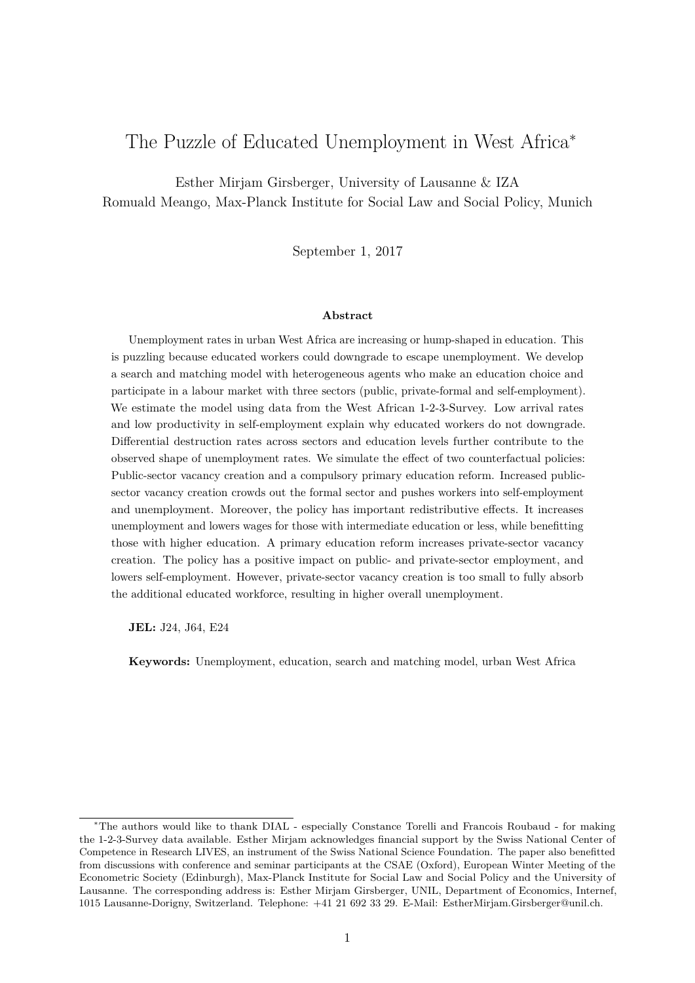# The Puzzle of Educated Unemployment in West Africa<sup>∗</sup>

Esther Mirjam Girsberger, University of Lausanne & IZA Romuald Meango, Max-Planck Institute for Social Law and Social Policy, Munich

September 1, 2017

### **Abstract**

Unemployment rates in urban West Africa are increasing or hump-shaped in education. This is puzzling because educated workers could downgrade to escape unemployment. We develop a search and matching model with heterogeneous agents who make an education choice and participate in a labour market with three sectors (public, private-formal and self-employment). We estimate the model using data from the West African 1-2-3-Survey. Low arrival rates and low productivity in self-employment explain why educated workers do not downgrade. Differential destruction rates across sectors and education levels further contribute to the observed shape of unemployment rates. We simulate the effect of two counterfactual policies: Public-sector vacancy creation and a compulsory primary education reform. Increased publicsector vacancy creation crowds out the formal sector and pushes workers into self-employment and unemployment. Moreover, the policy has important redistributive effects. It increases unemployment and lowers wages for those with intermediate education or less, while benefitting those with higher education. A primary education reform increases private-sector vacancy creation. The policy has a positive impact on public- and private-sector employment, and lowers self-employment. However, private-sector vacancy creation is too small to fully absorb the additional educated workforce, resulting in higher overall unemployment.

**JEL:** J24, J64, E24

**Keywords:** Unemployment, education, search and matching model, urban West Africa

<sup>∗</sup>The authors would like to thank DIAL - especially Constance Torelli and Francois Roubaud - for making the 1-2-3-Survey data available. Esther Mirjam acknowledges financial support by the Swiss National Center of Competence in Research LIVES, an instrument of the Swiss National Science Foundation. The paper also benefitted from discussions with conference and seminar participants at the CSAE (Oxford), European Winter Meeting of the Econometric Society (Edinburgh), Max-Planck Institute for Social Law and Social Policy and the University of Lausanne. The corresponding address is: Esther Mirjam Girsberger, UNIL, Department of Economics, Internef, 1015 Lausanne-Dorigny, Switzerland. Telephone: +41 21 692 33 29. E-Mail: EstherMirjam.Girsberger@unil.ch.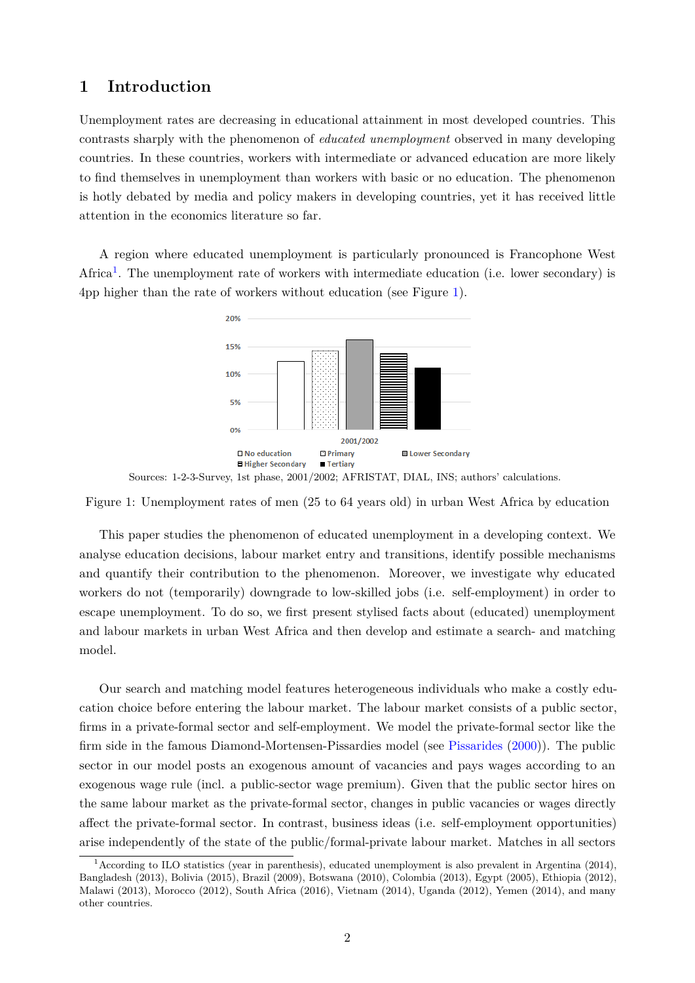# **1 Introduction**

Unemployment rates are decreasing in educational attainment in most developed countries. This contrasts sharply with the phenomenon of *educated unemployment* observed in many developing countries. In these countries, workers with intermediate or advanced education are more likely to find themselves in unemployment than workers with basic or no education. The phenomenon is hotly debated by media and policy makers in developing countries, yet it has received little attention in the economics literature so far.

<span id="page-1-1"></span>A region where educated unemployment is particularly pronounced is Francophone West Africa<sup>[1](#page-1-0)</sup>. The unemployment rate of workers with intermediate education (i.e. lower secondary) is 4pp higher than the rate of workers without education (see Figure [1\)](#page-1-1).



Sources: 1-2-3-Survey, 1st phase, 2001/2002; AFRISTAT, DIAL, INS; authors' calculations.

Figure 1: Unemployment rates of men (25 to 64 years old) in urban West Africa by education

This paper studies the phenomenon of educated unemployment in a developing context. We analyse education decisions, labour market entry and transitions, identify possible mechanisms and quantify their contribution to the phenomenon. Moreover, we investigate why educated workers do not (temporarily) downgrade to low-skilled jobs (i.e. self-employment) in order to escape unemployment. To do so, we first present stylised facts about (educated) unemployment and labour markets in urban West Africa and then develop and estimate a search- and matching model.

Our search and matching model features heterogeneous individuals who make a costly education choice before entering the labour market. The labour market consists of a public sector, firms in a private-formal sector and self-employment. We model the private-formal sector like the firm side in the famous Diamond-Mortensen-Pissardies model (see [Pissarides](#page-19-0) [\(2000\)](#page-19-0)). The public sector in our model posts an exogenous amount of vacancies and pays wages according to an exogenous wage rule (incl. a public-sector wage premium). Given that the public sector hires on the same labour market as the private-formal sector, changes in public vacancies or wages directly affect the private-formal sector. In contrast, business ideas (i.e. self-employment opportunities) arise independently of the state of the public/formal-private labour market. Matches in all sectors

<span id="page-1-0"></span><sup>1</sup>According to ILO statistics (year in parenthesis), educated unemployment is also prevalent in Argentina (2014), Bangladesh (2013), Bolivia (2015), Brazil (2009), Botswana (2010), Colombia (2013), Egypt (2005), Ethiopia (2012), Malawi (2013), Morocco (2012), South Africa (2016), Vietnam (2014), Uganda (2012), Yemen (2014), and many other countries.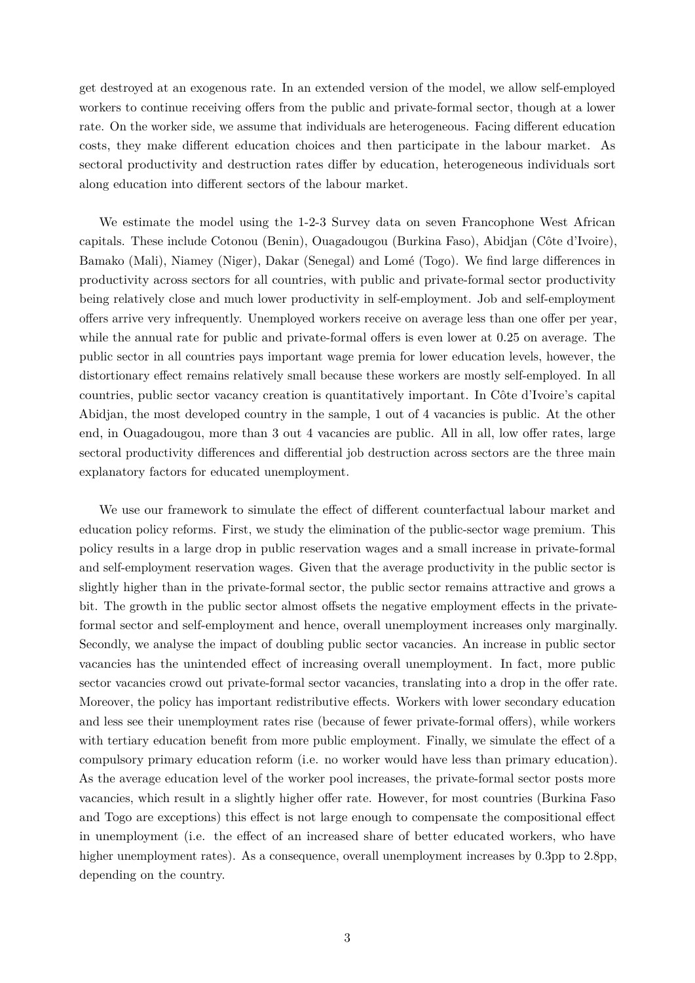get destroyed at an exogenous rate. In an extended version of the model, we allow self-employed workers to continue receiving offers from the public and private-formal sector, though at a lower rate. On the worker side, we assume that individuals are heterogeneous. Facing different education costs, they make different education choices and then participate in the labour market. As sectoral productivity and destruction rates differ by education, heterogeneous individuals sort along education into different sectors of the labour market.

We estimate the model using the 1-2-3 Survey data on seven Francophone West African capitals. These include Cotonou (Benin), Ouagadougou (Burkina Faso), Abidjan (Côte d'Ivoire), Bamako (Mali), Niamey (Niger), Dakar (Senegal) and Lomé (Togo). We find large differences in productivity across sectors for all countries, with public and private-formal sector productivity being relatively close and much lower productivity in self-employment. Job and self-employment offers arrive very infrequently. Unemployed workers receive on average less than one offer per year, while the annual rate for public and private-formal offers is even lower at 0.25 on average. The public sector in all countries pays important wage premia for lower education levels, however, the distortionary effect remains relatively small because these workers are mostly self-employed. In all countries, public sector vacancy creation is quantitatively important. In Côte d'Ivoire's capital Abidjan, the most developed country in the sample, 1 out of 4 vacancies is public. At the other end, in Ouagadougou, more than 3 out 4 vacancies are public. All in all, low offer rates, large sectoral productivity differences and differential job destruction across sectors are the three main explanatory factors for educated unemployment.

We use our framework to simulate the effect of different counterfactual labour market and education policy reforms. First, we study the elimination of the public-sector wage premium. This policy results in a large drop in public reservation wages and a small increase in private-formal and self-employment reservation wages. Given that the average productivity in the public sector is slightly higher than in the private-formal sector, the public sector remains attractive and grows a bit. The growth in the public sector almost offsets the negative employment effects in the privateformal sector and self-employment and hence, overall unemployment increases only marginally. Secondly, we analyse the impact of doubling public sector vacancies. An increase in public sector vacancies has the unintended effect of increasing overall unemployment. In fact, more public sector vacancies crowd out private-formal sector vacancies, translating into a drop in the offer rate. Moreover, the policy has important redistributive effects. Workers with lower secondary education and less see their unemployment rates rise (because of fewer private-formal offers), while workers with tertiary education benefit from more public employment. Finally, we simulate the effect of a compulsory primary education reform (i.e. no worker would have less than primary education). As the average education level of the worker pool increases, the private-formal sector posts more vacancies, which result in a slightly higher offer rate. However, for most countries (Burkina Faso and Togo are exceptions) this effect is not large enough to compensate the compositional effect in unemployment (i.e. the effect of an increased share of better educated workers, who have higher unemployment rates). As a consequence, overall unemployment increases by 0.3pp to 2.8pp, depending on the country.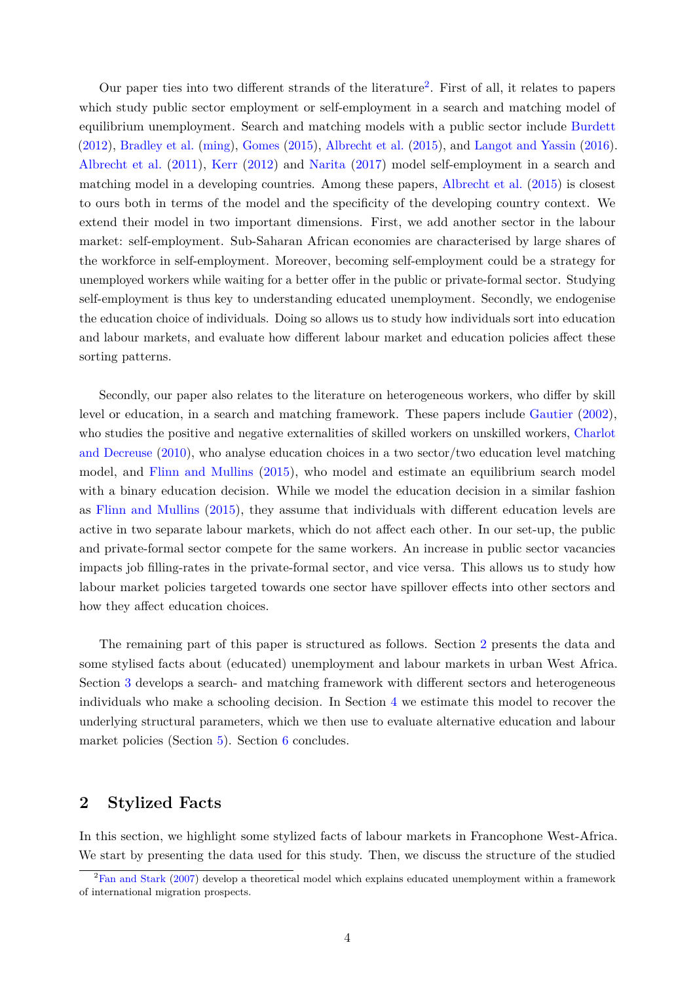Our paper ties into two different strands of the literature<sup>[2](#page-3-0)</sup>. First of all, it relates to papers which study public sector employment or self-employment in a search and matching model of equilibrium unemployment. Search and matching models with a public sector include [Burdett](#page-19-1) [\(2012\)](#page-19-1), [Bradley et al.](#page-19-2) [\(ming\)](#page-19-2), [Gomes](#page-19-3) [\(2015\)](#page-19-3), [Albrecht et al.](#page-19-4) [\(2015\)](#page-19-4), and [Langot and Yassin](#page-19-5) [\(2016\)](#page-19-5). [Albrecht et al.](#page-19-6) [\(2011\)](#page-19-6), [Kerr](#page-19-7) [\(2012\)](#page-19-7) and [Narita](#page-19-8) [\(2017\)](#page-19-8) model self-employment in a search and matching model in a developing countries. Among these papers, [Albrecht et al.](#page-19-4) [\(2015\)](#page-19-4) is closest to ours both in terms of the model and the specificity of the developing country context. We extend their model in two important dimensions. First, we add another sector in the labour market: self-employment. Sub-Saharan African economies are characterised by large shares of the workforce in self-employment. Moreover, becoming self-employment could be a strategy for unemployed workers while waiting for a better offer in the public or private-formal sector. Studying self-employment is thus key to understanding educated unemployment. Secondly, we endogenise the education choice of individuals. Doing so allows us to study how individuals sort into education and labour markets, and evaluate how different labour market and education policies affect these sorting patterns.

Secondly, our paper also relates to the literature on heterogeneous workers, who differ by skill level or education, in a search and matching framework. These papers include [Gautier](#page-19-9) [\(2002\)](#page-19-9), who studies the positive and negative externalities of skilled workers on unskilled workers, [Charlot](#page-19-10) [and Decreuse](#page-19-10) [\(2010\)](#page-19-10), who analyse education choices in a two sector/two education level matching model, and [Flinn and Mullins](#page-19-11) [\(2015\)](#page-19-11), who model and estimate an equilibrium search model with a binary education decision. While we model the education decision in a similar fashion as [Flinn and Mullins](#page-19-11) [\(2015\)](#page-19-11), they assume that individuals with different education levels are active in two separate labour markets, which do not affect each other. In our set-up, the public and private-formal sector compete for the same workers. An increase in public sector vacancies impacts job filling-rates in the private-formal sector, and vice versa. This allows us to study how labour market policies targeted towards one sector have spillover effects into other sectors and how they affect education choices.

The remaining part of this paper is structured as follows. Section [2](#page-3-1) presents the data and some stylised facts about (educated) unemployment and labour markets in urban West Africa. Section [3](#page-10-0) develops a search- and matching framework with different sectors and heterogeneous individuals who make a schooling decision. In Section [4](#page-13-0) we estimate this model to recover the underlying structural parameters, which we then use to evaluate alternative education and labour market policies (Section [5\)](#page-15-0). Section [6](#page-18-0) concludes.

# <span id="page-3-1"></span>**2 Stylized Facts**

In this section, we highlight some stylized facts of labour markets in Francophone West-Africa. We start by presenting the data used for this study. Then, we discuss the structure of the studied

<span id="page-3-0"></span><sup>&</sup>lt;sup>2</sup>[Fan and Stark](#page-19-12) [\(2007\)](#page-19-12) develop a theoretical model which explains educated unemployment within a framework of international migration prospects.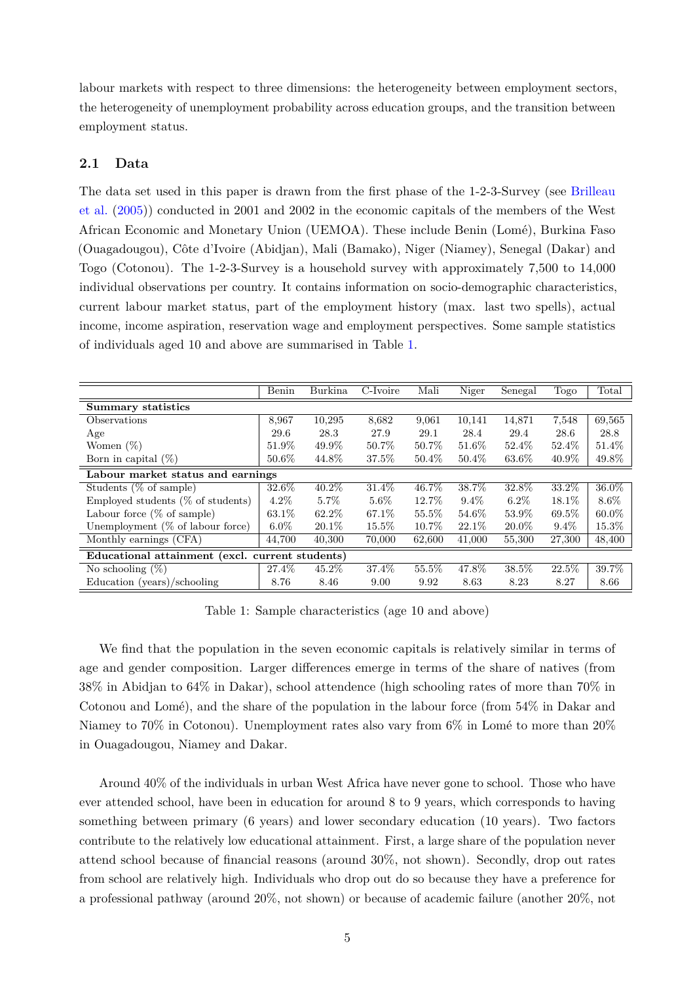labour markets with respect to three dimensions: the heterogeneity between employment sectors, the heterogeneity of unemployment probability across education groups, and the transition between employment status.

### **2.1 Data**

The data set used in this paper is drawn from the first phase of the 1-2-3-Survey (see [Brilleau](#page-19-13) [et al.](#page-19-13) [\(2005\)](#page-19-13)) conducted in 2001 and 2002 in the economic capitals of the members of the West African Economic and Monetary Union (UEMOA). These include Benin (Lomé), Burkina Faso (Ouagadougou), Cˆote d'Ivoire (Abidjan), Mali (Bamako), Niger (Niamey), Senegal (Dakar) and Togo (Cotonou). The 1-2-3-Survey is a household survey with approximately 7,500 to 14,000 individual observations per country. It contains information on socio-demographic characteristics, current labour market status, part of the employment history (max. last two spells), actual income, income aspiration, reservation wage and employment perspectives. Some sample statistics of individuals aged 10 and above are summarised in Table [1.](#page-4-0)

<span id="page-4-0"></span>

|                                                 | Benin   | <b>Burkina</b> | C-Ivoire | Mali     | Niger    | Senegal  | Togo     | Total    |
|-------------------------------------------------|---------|----------------|----------|----------|----------|----------|----------|----------|
| <b>Summary statistics</b>                       |         |                |          |          |          |          |          |          |
| Observations                                    | 8,967   | 10,295         | 8,682    | 9,061    | 10,141   | 14,871   | 7,548    | 69,565   |
| Age                                             | 29.6    | 28.3           | 27.9     | 29.1     | 28.4     | 29.4     | 28.6     | 28.8     |
| Women $(\%)$                                    | 51.9%   | 49.9%          | 50.7%    | 50.7%    | 51.6%    | 52.4\%   | 52.4%    | 51.4%    |
| Born in capital $(\%)$                          | 50.6%   | 44.8%          | 37.5%    | $50.4\%$ | $50.4\%$ | 63.6%    | $40.9\%$ | 49.8%    |
| Labour market status and earnings               |         |                |          |          |          |          |          |          |
| Students $(\%$ of sample)                       | 32.6%   | $40.2\%$       | 31.4\%   | 46.7%    | 38.7%    | 32.8%    | 33.2\%   | 36.0%    |
| Employed students $(\%$ of students)            | $4.2\%$ | $5.7\%$        | $5.6\%$  | 12.7%    | $9.4\%$  | $6.2\%$  | 18.1\%   | 8.6%     |
| Labour force $(\%$ of sample)                   | 63.1\%  | 62.2%          | 67.1\%   | 55.5%    | 54.6%    | 53.9%    | 69.5%    | $60.0\%$ |
| Unemployment $(\%$ of labour force)             | $6.0\%$ | $20.1\%$       | 15.5%    | 10.7%    | $22.1\%$ | $20.0\%$ | $9.4\%$  | 15.3%    |
| Monthly earnings (CFA)                          | 44.700  | 40,300         | 70,000   | 62,600   | 41,000   | 55,300   | 27,300   | 48,400   |
| Educational attainment (excl. current students) |         |                |          |          |          |          |          |          |
| No schooling $(\%)$                             | 27.4%   | 45.2%          | 37.4%    | 55.5%    | 47.8%    | 38.5%    | 22.5%    | 39.7%    |
| Education (years)/schooling                     | 8.76    | 8.46           | 9.00     | 9.92     | 8.63     | 8.23     | 8.27     | 8.66     |

Table 1: Sample characteristics (age 10 and above)

We find that the population in the seven economic capitals is relatively similar in terms of age and gender composition. Larger differences emerge in terms of the share of natives (from 38% in Abidjan to 64% in Dakar), school attendence (high schooling rates of more than 70% in Cotonou and Lomé), and the share of the population in the labour force (from  $54\%$  in Dakar and Niamey to 70% in Cotonou). Unemployment rates also vary from  $6\%$  in Lomé to more than  $20\%$ in Ouagadougou, Niamey and Dakar.

Around 40% of the individuals in urban West Africa have never gone to school. Those who have ever attended school, have been in education for around 8 to 9 years, which corresponds to having something between primary (6 years) and lower secondary education (10 years). Two factors contribute to the relatively low educational attainment. First, a large share of the population never attend school because of financial reasons (around 30%, not shown). Secondly, drop out rates from school are relatively high. Individuals who drop out do so because they have a preference for a professional pathway (around 20%, not shown) or because of academic failure (another 20%, not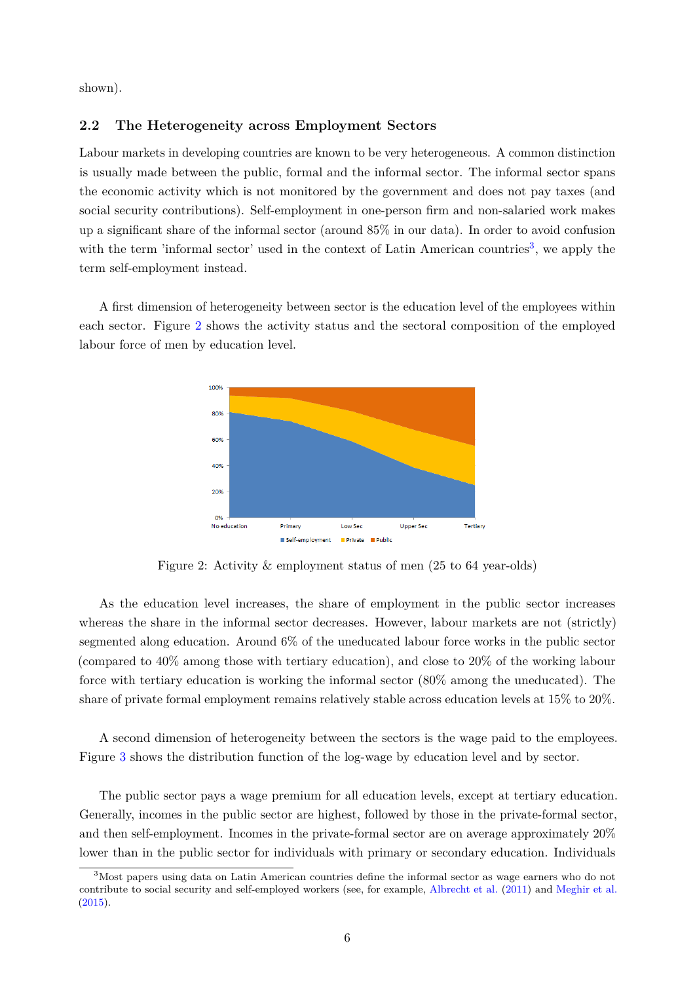shown).

### **2.2 The Heterogeneity across Employment Sectors**

Labour markets in developing countries are known to be very heterogeneous. A common distinction is usually made between the public, formal and the informal sector. The informal sector spans the economic activity which is not monitored by the government and does not pay taxes (and social security contributions). Self-employment in one-person firm and non-salaried work makes up a significant share of the informal sector (around 85% in our data). In order to avoid confusion with the term 'informal sector' used in the context of Latin American countries<sup>[3](#page-5-0)</sup>, we apply the term self-employment instead.

<span id="page-5-1"></span>A first dimension of heterogeneity between sector is the education level of the employees within each sector. Figure [2](#page-5-1) shows the activity status and the sectoral composition of the employed labour force of men by education level.



Figure 2: Activity & employment status of men (25 to 64 year-olds)

As the education level increases, the share of employment in the public sector increases whereas the share in the informal sector decreases. However, labour markets are not (strictly) segmented along education. Around 6% of the uneducated labour force works in the public sector (compared to 40% among those with tertiary education), and close to 20% of the working labour force with tertiary education is working the informal sector (80% among the uneducated). The share of private formal employment remains relatively stable across education levels at 15% to 20%.

A second dimension of heterogeneity between the sectors is the wage paid to the employees. Figure [3](#page-6-0) shows the distribution function of the log-wage by education level and by sector.

The public sector pays a wage premium for all education levels, except at tertiary education. Generally, incomes in the public sector are highest, followed by those in the private-formal sector, and then self-employment. Incomes in the private-formal sector are on average approximately 20% lower than in the public sector for individuals with primary or secondary education. Individuals

<span id="page-5-0"></span><sup>3</sup>Most papers using data on Latin American countries define the informal sector as wage earners who do not contribute to social security and self-employed workers (see, for example, [Albrecht et al.](#page-19-6) [\(2011\)](#page-19-6) and [Meghir et al.](#page-19-14) [\(2015\)](#page-19-14).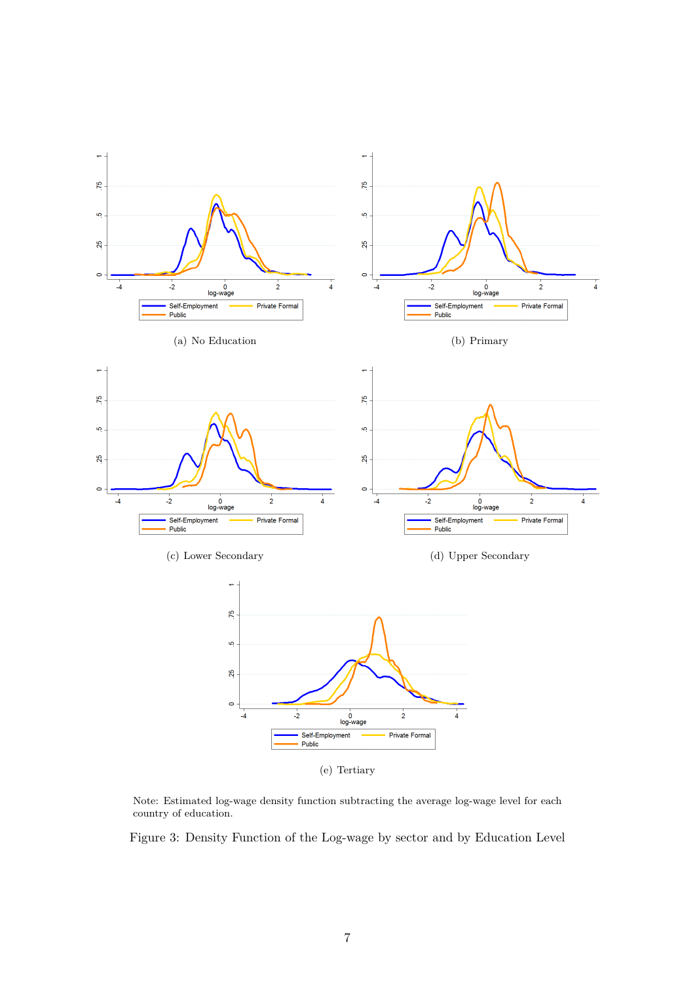

<span id="page-6-0"></span>Note: Estimated log-wage density function subtracting the average log-wage level for each country of education.

Figure 3: Density Function of the Log-wage by sector and by Education Level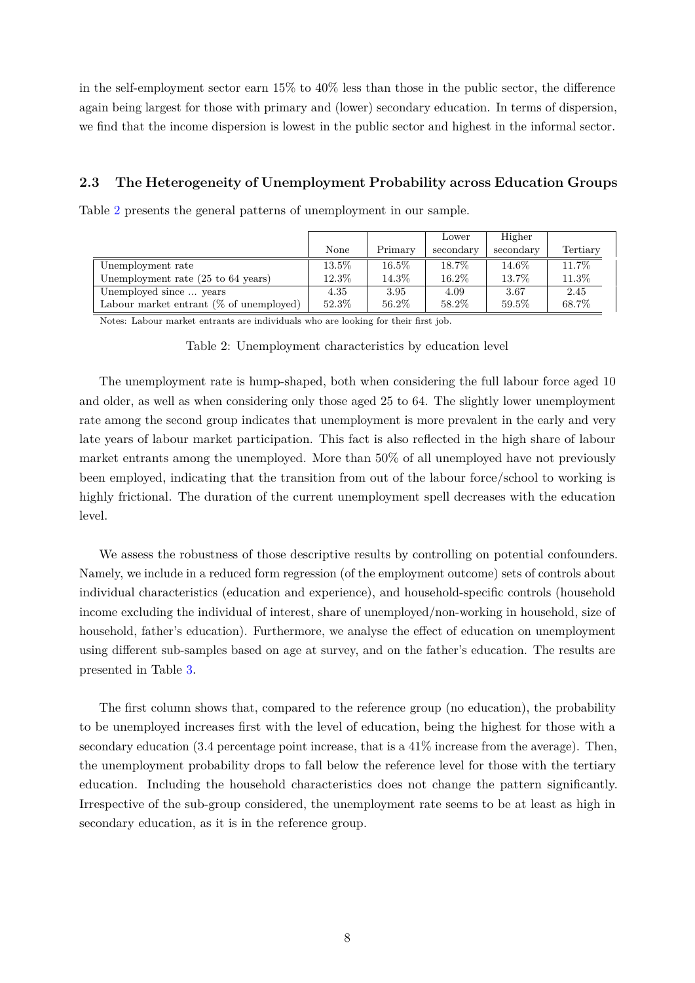in the self-employment sector earn 15% to 40% less than those in the public sector, the difference again being largest for those with primary and (lower) secondary education. In terms of dispersion, we find that the income dispersion is lowest in the public sector and highest in the informal sector.

# **2.3 The Heterogeneity of Unemployment Probability across Education Groups**

Table [2](#page-7-0) presents the general patterns of unemployment in our sample.

<span id="page-7-0"></span>

|                                                       |          |          | Lower     | Higher    |          |
|-------------------------------------------------------|----------|----------|-----------|-----------|----------|
|                                                       | None     | Primary  | secondary | secondary | Tertiary |
| Unemployment rate                                     | $13.5\%$ | $16.5\%$ | 18.7%     | $14.6\%$  | 11.7%    |
| Unemployment rate $(25 \text{ to } 64 \text{ years})$ | $12.3\%$ | $14.3\%$ | 16.2%     | 13.7%     | 11.3%    |
| Unemployed since  years                               | 4.35     | 3.95     | 4.09      | 3.67      | 2.45     |
| Labour market entrant $(\%$ of unemployed)            | 52.3%    | 56.2%    | 58.2%     | 59.5%     | 68.7%    |

Notes: Labour market entrants are individuals who are looking for their first job.

Table 2: Unemployment characteristics by education level

The unemployment rate is hump-shaped, both when considering the full labour force aged 10 and older, as well as when considering only those aged 25 to 64. The slightly lower unemployment rate among the second group indicates that unemployment is more prevalent in the early and very late years of labour market participation. This fact is also reflected in the high share of labour market entrants among the unemployed. More than 50% of all unemployed have not previously been employed, indicating that the transition from out of the labour force/school to working is highly frictional. The duration of the current unemployment spell decreases with the education level.

We assess the robustness of those descriptive results by controlling on potential confounders. Namely, we include in a reduced form regression (of the employment outcome) sets of controls about individual characteristics (education and experience), and household-specific controls (household income excluding the individual of interest, share of unemployed/non-working in household, size of household, father's education). Furthermore, we analyse the effect of education on unemployment using different sub-samples based on age at survey, and on the father's education. The results are presented in Table [3.](#page-8-0)

The first column shows that, compared to the reference group (no education), the probability to be unemployed increases first with the level of education, being the highest for those with a secondary education (3.4 percentage point increase, that is a 41% increase from the average). Then, the unemployment probability drops to fall below the reference level for those with the tertiary education. Including the household characteristics does not change the pattern significantly. Irrespective of the sub-group considered, the unemployment rate seems to be at least as high in secondary education, as it is in the reference group.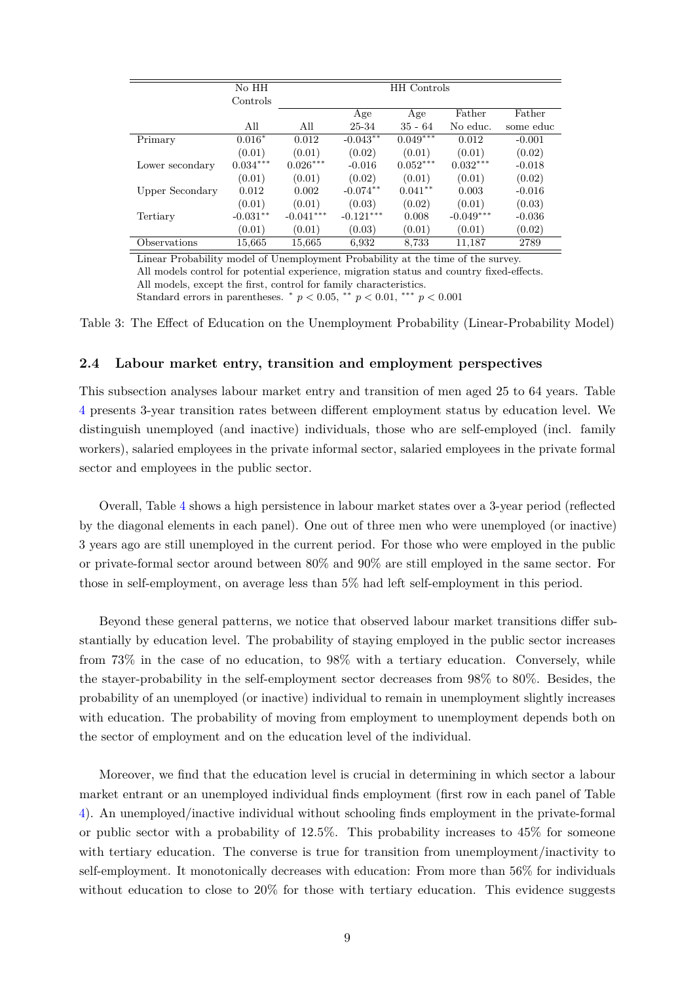<span id="page-8-0"></span>

|                 | No HH      |             |             | <b>HH</b> Controls |             |           |
|-----------------|------------|-------------|-------------|--------------------|-------------|-----------|
|                 | Controls   |             |             |                    |             |           |
|                 |            |             | Age         | Age                | Father      | Father    |
|                 | All        | All         | 25-34       | $35 - 64$          | No educ.    | some educ |
| Primary         | $0.016*$   | 0.012       | $-0.043**$  | $0.049***$         | 0.012       | $-0.001$  |
|                 | (0.01)     | (0.01)      | (0.02)      | (0.01)             | (0.01)      | (0.02)    |
| Lower secondary | $0.034***$ | $0.026***$  | $-0.016$    | $0.052***$         | $0.032***$  | $-0.018$  |
|                 | (0.01)     | (0.01)      | (0.02)      | (0.01)             | (0.01)      | (0.02)    |
| Upper Secondary | 0.012      | 0.002       | $-0.074**$  | $0.041**$          | 0.003       | $-0.016$  |
|                 | (0.01)     | (0.01)      | (0.03)      | (0.02)             | (0.01)      | (0.03)    |
| Tertiary        | $-0.031**$ | $-0.041***$ | $-0.121***$ | 0.008              | $-0.049***$ | $-0.036$  |
|                 | (0.01)     | (0.01)      | (0.03)      | (0.01)             | (0.01)      | (0.02)    |
| Observations    | 15,665     | 15,665      | 6,932       | 8,733              | 11,187      | 2789      |

Linear Probability model of Unemployment Probability at the time of the survey. All models control for potential experience, migration status and country fixed-effects. All models, except the first, control for family characteristics. Standard errors in parentheses.  $p < 0.05$ ,  $*$   $p < 0.01$ ,  $**$   $p < 0.001$ 

Table 3: The Effect of Education on the Unemployment Probability (Linear-Probability Model)

### **2.4 Labour market entry, transition and employment perspectives**

This subsection analyses labour market entry and transition of men aged 25 to 64 years. Table [4](#page-9-0) presents 3-year transition rates between different employment status by education level. We distinguish unemployed (and inactive) individuals, those who are self-employed (incl. family workers), salaried employees in the private informal sector, salaried employees in the private formal sector and employees in the public sector.

Overall, Table [4](#page-9-0) shows a high persistence in labour market states over a 3-year period (reflected by the diagonal elements in each panel). One out of three men who were unemployed (or inactive) 3 years ago are still unemployed in the current period. For those who were employed in the public or private-formal sector around between 80% and 90% are still employed in the same sector. For those in self-employment, on average less than 5% had left self-employment in this period.

Beyond these general patterns, we notice that observed labour market transitions differ substantially by education level. The probability of staying employed in the public sector increases from 73% in the case of no education, to 98% with a tertiary education. Conversely, while the stayer-probability in the self-employment sector decreases from 98% to 80%. Besides, the probability of an unemployed (or inactive) individual to remain in unemployment slightly increases with education. The probability of moving from employment to unemployment depends both on the sector of employment and on the education level of the individual.

Moreover, we find that the education level is crucial in determining in which sector a labour market entrant or an unemployed individual finds employment (first row in each panel of Table [4\)](#page-9-0). An unemployed/inactive individual without schooling finds employment in the private-formal or public sector with a probability of 12.5%. This probability increases to 45% for someone with tertiary education. The converse is true for transition from unemployment/inactivity to self-employment. It monotonically decreases with education: From more than 56% for individuals without education to close to 20% for those with tertiary education. This evidence suggests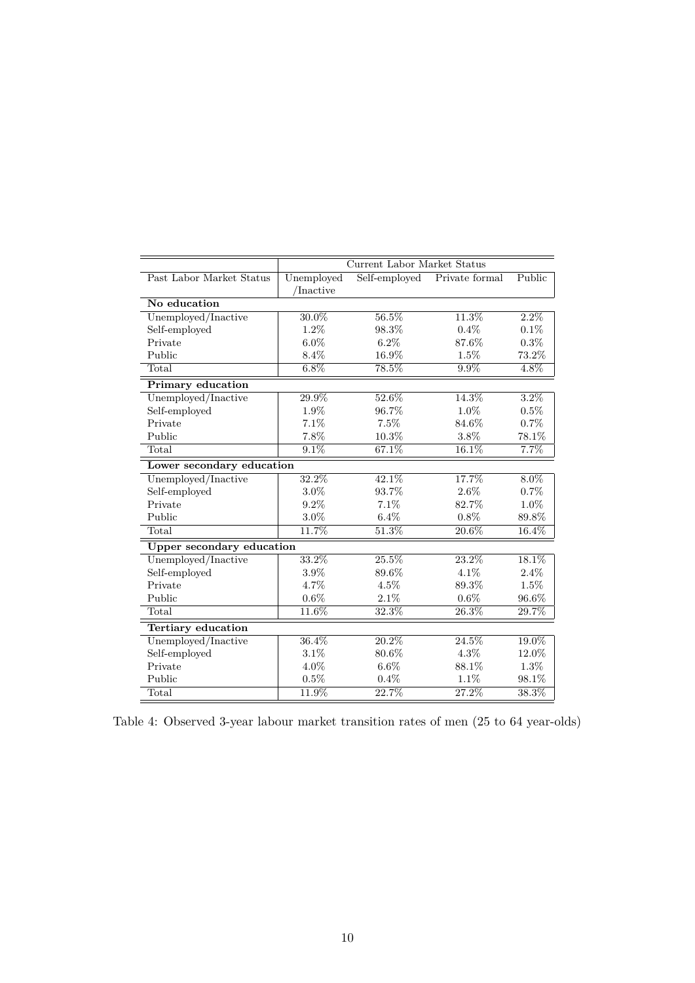<span id="page-9-0"></span>

|                                  |            | Current Labor Market Status |                     |         |
|----------------------------------|------------|-----------------------------|---------------------|---------|
| Past Labor Market Status         | Unemployed | Self-employed               | Private formal      | Public  |
|                                  | /Inactive  |                             |                     |         |
| No education                     |            |                             |                     |         |
| Unemployed/Inactive              | $30.0\%$   | 56.5%                       | $11.3\%$            | $2.2\%$ |
| Self-employed                    | $1.2\%$    | 98.3%                       | $0.4\%$             | $0.1\%$ |
| Private                          | $6.0\%$    | $6.2\%$                     | 87.6%               | $0.3\%$ |
| Public                           | $8.4\%$    | 16.9%                       | $1.5\%$             | 73.2%   |
| Total                            | $6.8\%$    | 78.5%                       | $9.9\%$             | 4.8%    |
| <b>Primary education</b>         |            |                             |                     |         |
| Unemployed/Inactive              | 29.9%      | 52.6%                       | 14.3%               | $3.2\%$ |
| Self-employed                    | 1.9%       | 96.7%                       | $1.0\%$             | $0.5\%$ |
| Private                          | 7.1%       | 7.5%                        | 84.6%               | 0.7%    |
| Public                           | 7.8%       | 10.3%                       | 3.8%                | 78.1%   |
| Total                            | $9.1\%$    | 67.1%                       | 16.1%               | 7.7%    |
| Lower secondary education        |            |                             |                     |         |
| Unemployed/Inactive              | 32.2%      | 42.1%                       | 17.7%               | $8.0\%$ |
| Self-employed                    | $3.0\%$    | 93.7%                       | $2.6\%$             | $0.7\%$ |
| Private                          | $9.2\%$    | 7.1%                        | 82.7%               | 1.0%    |
| Public                           | $3.0\%$    | $6.4\%$                     | $0.8\%$             | 89.8%   |
| Total                            | 11.7%      | 51.3%                       | 20.6%               | 16.4%   |
| <b>Upper secondary education</b> |            |                             |                     |         |
| Unemployed/Inactive              | 33.2%      | 25.5%                       | $23.2\%$            | 18.1%   |
| Self-employed                    | 3.9%       | 89.6%                       | $4.1\%$             | 2.4%    |
| Private                          | 4.7%       | 4.5%                        | 89.3%               | 1.5%    |
| Public                           | $0.6\%$    | 2.1%                        | $0.6\%$             | 96.6%   |
| Total                            | 11.6%      | 32.3%                       | 26.3%               | 29.7%   |
| Tertiary education               |            |                             |                     |         |
| Unemployed/Inactive              | 36.4%      | $20.2\%$                    | 24.5%               | 19.0%   |
| Self-employed                    | 3.1%       | 80.6%                       | $4.3\%$             | 12.0%   |
| Private                          | 4.0%       | $6.6\%$                     | 88.1%               | 1.3%    |
| Public                           | $0.5\%$    | 0.4%                        | $1.1\%$             | 98.1%   |
| Total                            | 11.9%      | 22.7%                       | $\overline{27.2\%}$ | 38.3%   |

Table 4: Observed 3-year labour market transition rates of men (25 to 64 year-olds)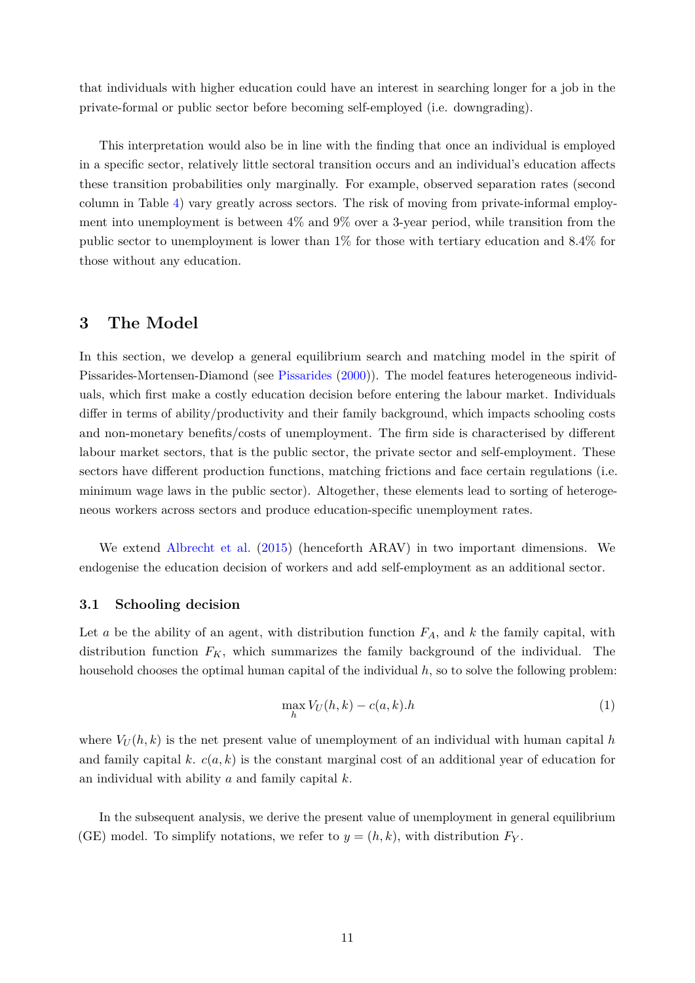that individuals with higher education could have an interest in searching longer for a job in the private-formal or public sector before becoming self-employed (i.e. downgrading).

This interpretation would also be in line with the finding that once an individual is employed in a specific sector, relatively little sectoral transition occurs and an individual's education affects these transition probabilities only marginally. For example, observed separation rates (second column in Table [4\)](#page-9-0) vary greatly across sectors. The risk of moving from private-informal employment into unemployment is between 4% and 9% over a 3-year period, while transition from the public sector to unemployment is lower than 1% for those with tertiary education and 8.4% for those without any education.

# <span id="page-10-0"></span>**3 The Model**

In this section, we develop a general equilibrium search and matching model in the spirit of Pissarides-Mortensen-Diamond (see [Pissarides](#page-19-0) [\(2000\)](#page-19-0)). The model features heterogeneous individuals, which first make a costly education decision before entering the labour market. Individuals differ in terms of ability/productivity and their family background, which impacts schooling costs and non-monetary benefits/costs of unemployment. The firm side is characterised by different labour market sectors, that is the public sector, the private sector and self-employment. These sectors have different production functions, matching frictions and face certain regulations (i.e. minimum wage laws in the public sector). Altogether, these elements lead to sorting of heterogeneous workers across sectors and produce education-specific unemployment rates.

We extend [Albrecht et al.](#page-19-4) [\(2015\)](#page-19-4) (henceforth ARAV) in two important dimensions. We endogenise the education decision of workers and add self-employment as an additional sector.

### **3.1 Schooling decision**

Let *a* be the ability of an agent, with distribution function *FA*, and *k* the family capital, with distribution function *FK*, which summarizes the family background of the individual. The household chooses the optimal human capital of the individual *h*, so to solve the following problem:

$$
\max_{h} V_U(h,k) - c(a,k).h \tag{1}
$$

where  $V_U(h, k)$  is the net present value of unemployment of an individual with human capital h and family capital *k*. *c*(*a, k*) is the constant marginal cost of an additional year of education for an individual with ability *a* and family capital *k*.

In the subsequent analysis, we derive the present value of unemployment in general equilibrium (GE) model. To simplify notations, we refer to  $y = (h, k)$ , with distribution  $F_Y$ .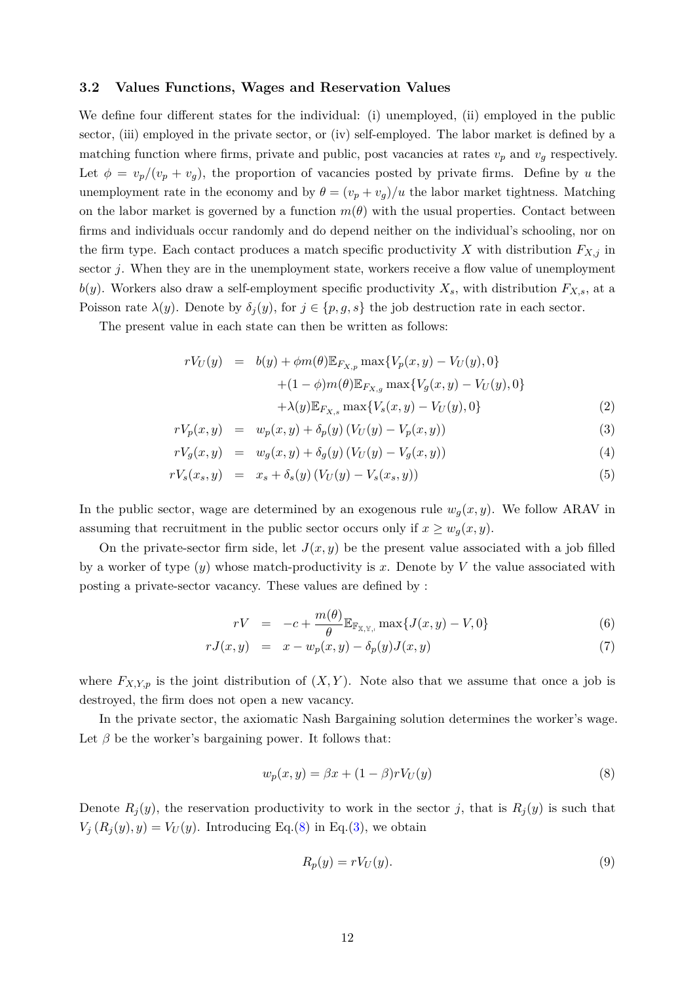### **3.2 Values Functions, Wages and Reservation Values**

We define four different states for the individual: (i) unemployed, (ii) employed in the public sector, (iii) employed in the private sector, or (iv) self-employed. The labor market is defined by a matching function where firms, private and public, post vacancies at rates  $v_p$  and  $v_g$  respectively. Let  $\phi = v_p/(v_p + v_g)$ , the proportion of vacancies posted by private firms. Define by *u* the unemployment rate in the economy and by  $\theta = (v_p + v_g)/u$  the labor market tightness. Matching on the labor market is governed by a function  $m(\theta)$  with the usual properties. Contact between firms and individuals occur randomly and do depend neither on the individual's schooling, nor on the firm type. Each contact produces a match specific productivity *X* with distribution  $F_{X,i}$  in sector *j*. When they are in the unemployment state, workers receive a flow value of unemployment  $b(y)$ . Workers also draw a self-employment specific productivity  $X_s$ , with distribution  $F_{X,s}$ , at a Poisson rate  $\lambda(y)$ . Denote by  $\delta_j(y)$ , for  $j \in \{p, g, s\}$  the job destruction rate in each sector.

The present value in each state can then be written as follows:

<span id="page-11-1"></span>
$$
rV_U(y) = b(y) + \phi m(\theta) \mathbb{E}_{F_{X,p}} \max \{ V_p(x, y) - V_U(y), 0 \} + (1 - \phi)m(\theta) \mathbb{E}_{F_{X,g}} \max \{ V_g(x, y) - V_U(y), 0 \} + \lambda(y) \mathbb{E}_{F_{X,s}} \max \{ V_s(x, y) - V_U(y), 0 \}
$$
(2)

$$
rV_p(x,y) = w_p(x,y) + \delta_p(y) (V_U(y) - V_p(x,y))
$$
\n(3)

$$
rV_g(x, y) = w_g(x, y) + \delta_g(y) (V_U(y) - V_g(x, y))
$$
\n(4)

$$
rV_s(x_s, y) = x_s + \delta_s(y) (V_U(y) - V_s(x_s, y))
$$
\n(5)

In the public sector, wage are determined by an exogenous rule  $w_q(x, y)$ . We follow ARAV in assuming that recruitment in the public sector occurs only if  $x \geq w_q(x, y)$ .

On the private-sector firm side, let  $J(x, y)$  be the present value associated with a job filled by a worker of type  $(y)$  whose match-productivity is x. Denote by V the value associated with posting a private-sector vacancy. These values are defined by :

<span id="page-11-2"></span>
$$
rV = -c + \frac{m(\theta)}{\theta} \mathbb{E}_{\mathbb{F}_{\mathbb{X}, \mathbb{Y}, \mathbb{I}}} \max \{ J(x, y) - V, 0 \}
$$
 (6)

$$
rJ(x,y) = x - w_p(x,y) - \delta_p(y)J(x,y)
$$
\n(7)

where  $F_{X,Y,p}$  is the joint distribution of  $(X,Y)$ . Note also that we assume that once a job is destroyed, the firm does not open a new vacancy.

In the private sector, the axiomatic Nash Bargaining solution determines the worker's wage. Let  $\beta$  be the worker's bargaining power. It follows that:

<span id="page-11-0"></span>
$$
w_p(x,y) = \beta x + (1 - \beta)rV_U(y)
$$
\n(8)

Denote  $R_j(y)$ , the reservation productivity to work in the sector *j*, that is  $R_j(y)$  is such that  $V_i(R_i(y), y) = V_U(y)$ . Introducing Eq.[\(8\)](#page-11-0) in Eq.[\(3\)](#page-11-1), we obtain

$$
R_p(y) = rV_U(y). \tag{9}
$$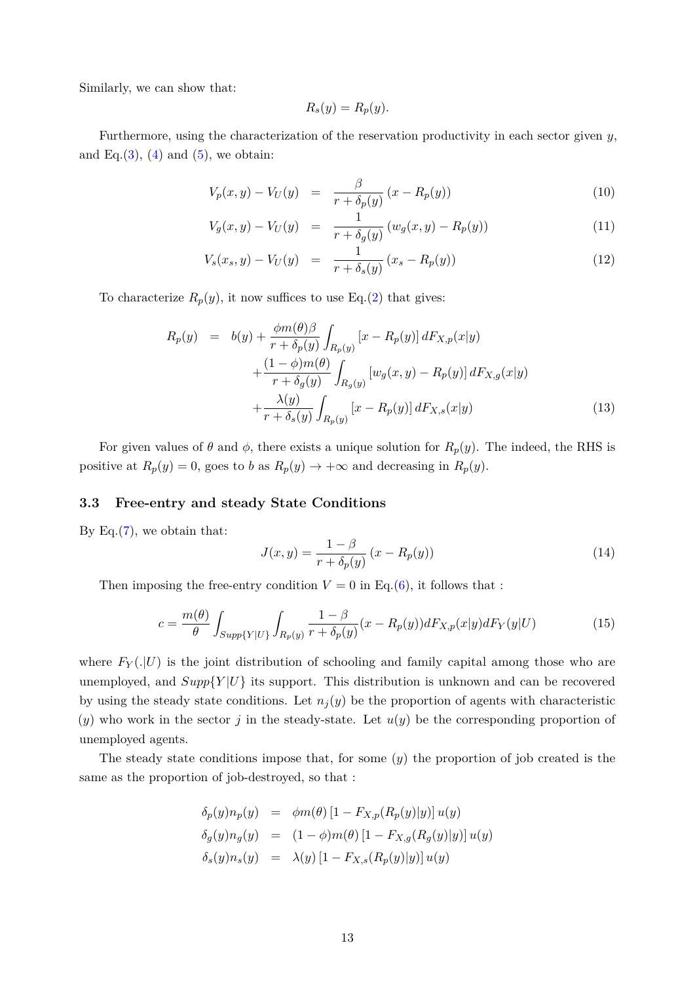Similarly, we can show that:

$$
R_s(y) = R_p(y).
$$

Furthermore, using the characterization of the reservation productivity in each sector given *y*, and Eq. $(3)$ ,  $(4)$  and  $(5)$ , we obtain:

$$
V_p(x, y) - V_U(y) = \frac{\beta}{r + \delta_p(y)} (x - R_p(y))
$$
\n(10)

$$
V_g(x,y) - V_U(y) = \frac{1}{r + \delta_g(y)} (w_g(x,y) - R_p(y))
$$
\n(11)

$$
V_s(x_s, y) - V_U(y) = \frac{1}{r + \delta_s(y)} (x_s - R_p(y))
$$
\n(12)

To characterize  $R_p(y)$ , it now suffices to use Eq.[\(2\)](#page-11-1) that gives:

<span id="page-12-1"></span>
$$
R_p(y) = b(y) + \frac{\phi m(\theta)\beta}{r + \delta_p(y)} \int_{R_p(y)} [x - R_p(y)] dF_{X,p}(x|y) + \frac{(1 - \phi)m(\theta)}{r + \delta_g(y)} \int_{R_g(y)} [w_g(x, y) - R_p(y)] dF_{X,g}(x|y) + \frac{\lambda(y)}{r + \delta_s(y)} \int_{R_p(y)} [x - R_p(y)] dF_{X,s}(x|y)
$$
(13)

For given values of  $\theta$  and  $\phi$ , there exists a unique solution for  $R_p(y)$ . The indeed, the RHS is positive at  $R_p(y) = 0$ , goes to *b* as  $R_p(y) \to +\infty$  and decreasing in  $R_p(y)$ .

### **3.3 Free-entry and steady State Conditions**

By Eq. $(7)$ , we obtain that:

$$
J(x,y) = \frac{1-\beta}{r + \delta_p(y)} (x - R_p(y))
$$
\n(14)

Then imposing the free-entry condition  $V = 0$  in Eq.[\(6\)](#page-11-2), it follows that :

<span id="page-12-0"></span>
$$
c = \frac{m(\theta)}{\theta} \int_{Supp\{Y|U\}} \int_{R_p(y)} \frac{1-\beta}{r+\delta_p(y)} (x - R_p(y)) dF_{X,p}(x|y) dF_Y(y|U)
$$
(15)

where  $F_Y(.|U)$  is the joint distribution of schooling and family capital among those who are unemployed, and  $Supp{Y|U}$  its support. This distribution is unknown and can be recovered by using the steady state conditions. Let  $n_j(y)$  be the proportion of agents with characteristic  $(y)$  who work in the sector *j* in the steady-state. Let  $u(y)$  be the corresponding proportion of unemployed agents.

The steady state conditions impose that, for some (*y*) the proportion of job created is the same as the proportion of job-destroyed, so that :

$$
\delta_p(y)n_p(y) = \phi m(\theta) \left[1 - F_{X,p}(R_p(y)|y)\right] u(y)
$$
  
\n
$$
\delta_g(y)n_g(y) = (1 - \phi)m(\theta) \left[1 - F_{X,g}(R_g(y)|y)\right] u(y)
$$
  
\n
$$
\delta_s(y)n_s(y) = \lambda(y) \left[1 - F_{X,s}(R_p(y)|y)\right] u(y)
$$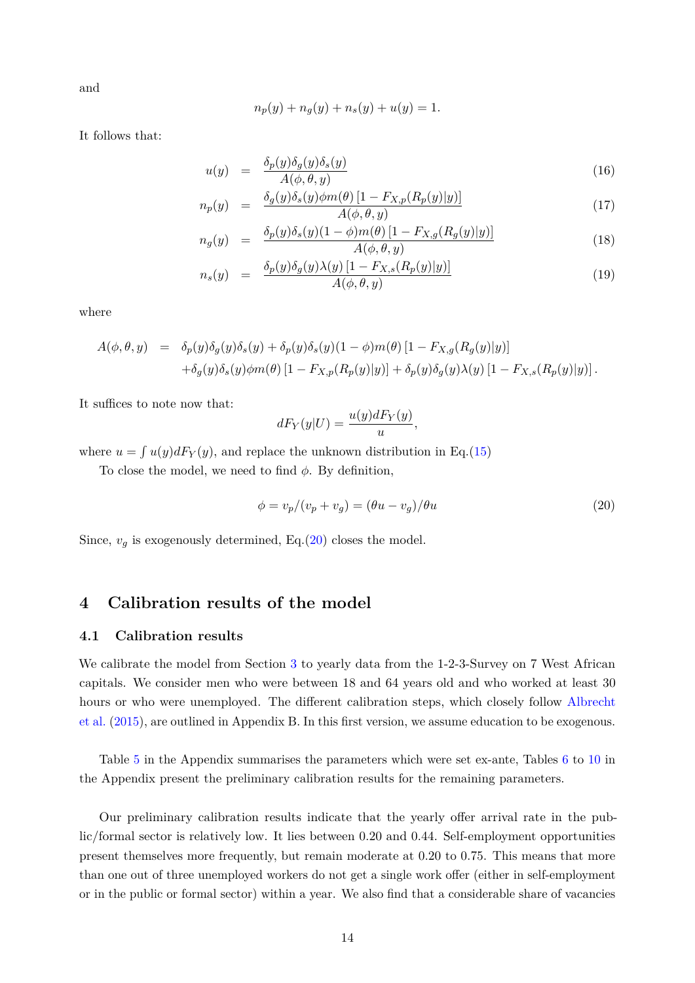and

$$
n_p(y) + n_g(y) + n_s(y) + u(y) = 1.
$$

It follows that:

$$
u(y) = \frac{\delta_p(y)\delta_g(y)\delta_s(y)}{A(\phi, \theta, y)}
$$
(16)

$$
n_p(y) = \frac{\delta_g(y)\delta_s(y)\phi m(\theta) [1 - F_{X,p}(R_p(y)|y)]}{A(\phi, \theta, y)}
$$
(17)

$$
n_g(y) = \frac{\delta_p(y)\delta_s(y)(1-\phi)m(\theta)\left[1 - F_{X,g}(R_g(y)|y)\right]}{A(\phi,\theta,y)}
$$
(18)

$$
n_s(y) = \frac{\delta_p(y)\delta_g(y)\lambda(y)[1 - F_{X,s}(R_p(y)|y)]}{A(\phi, \theta, y)}
$$
(19)

where

$$
A(\phi, \theta, y) = \delta_p(y)\delta_g(y)\delta_s(y) + \delta_p(y)\delta_s(y)(1-\phi)m(\theta)\left[1 - F_{X,g}(R_g(y)|y)\right]
$$
  
+
$$
\delta_g(y)\delta_s(y)\phi m(\theta)\left[1 - F_{X,p}(R_p(y)|y)\right] + \delta_p(y)\delta_g(y)\lambda(y)\left[1 - F_{X,s}(R_p(y)|y)\right].
$$

It suffices to note now that:

$$
dF_Y(y|U) = \frac{u(y)dF_Y(y)}{u},
$$

where  $u = \int u(y) dF_Y(y)$ , and replace the unknown distribution in Eq.[\(15\)](#page-12-0)

To close the model, we need to find *φ*. By definition,

<span id="page-13-1"></span>
$$
\phi = v_p/(v_p + v_g) = (\theta u - v_g)/\theta u \tag{20}
$$

Since,  $v_g$  is exogenously determined, Eq.[\(20\)](#page-13-1) closes the model.

## <span id="page-13-0"></span>**4 Calibration results of the model**

### **4.1 Calibration results**

We calibrate the model from Section [3](#page-10-0) to yearly data from the 1-2-3-Survey on 7 West African capitals. We consider men who were between 18 and 64 years old and who worked at least 30 hours or who were unemployed. The different calibration steps, which closely follow [Albrecht](#page-19-4) [et al.](#page-19-4) [\(2015\)](#page-19-4), are outlined in Appendix B. In this first version, we assume education to be exogenous.

Table [5](#page-29-0) in the Appendix summarises the parameters which were set ex-ante, Tables [6](#page-29-1) to [10](#page-31-0) in the Appendix present the preliminary calibration results for the remaining parameters.

Our preliminary calibration results indicate that the yearly offer arrival rate in the public/formal sector is relatively low. It lies between 0.20 and 0.44. Self-employment opportunities present themselves more frequently, but remain moderate at 0.20 to 0.75. This means that more than one out of three unemployed workers do not get a single work offer (either in self-employment or in the public or formal sector) within a year. We also find that a considerable share of vacancies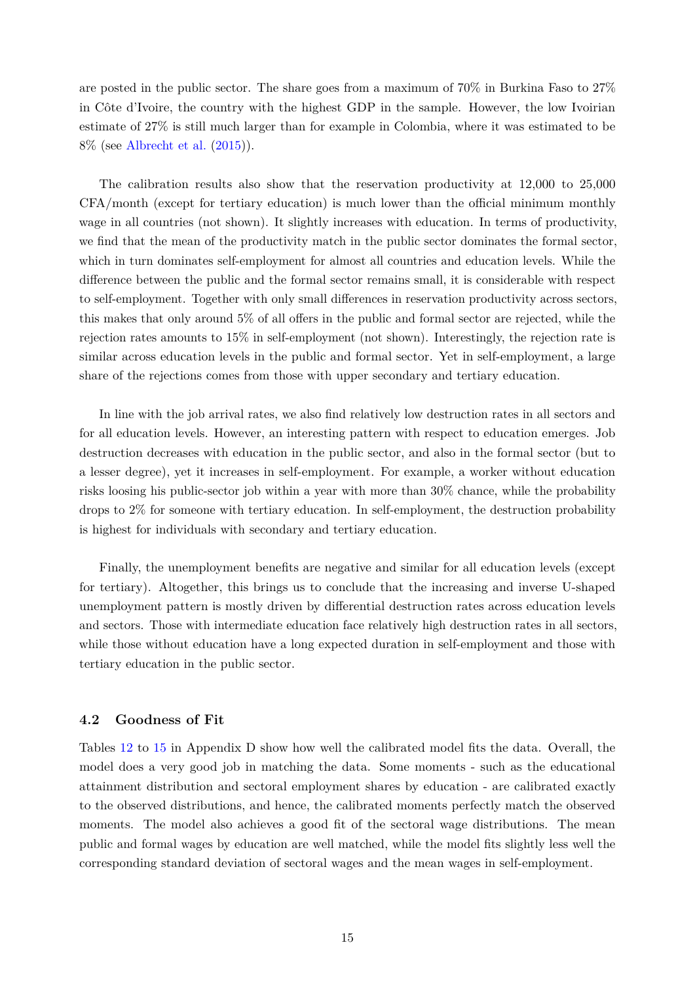are posted in the public sector. The share goes from a maximum of 70% in Burkina Faso to 27% in Côte d'Ivoire, the country with the highest GDP in the sample. However, the low Ivoirian estimate of 27% is still much larger than for example in Colombia, where it was estimated to be 8% (see [Albrecht et al.](#page-19-4) [\(2015\)](#page-19-4)).

The calibration results also show that the reservation productivity at 12,000 to 25,000 CFA/month (except for tertiary education) is much lower than the official minimum monthly wage in all countries (not shown). It slightly increases with education. In terms of productivity, we find that the mean of the productivity match in the public sector dominates the formal sector, which in turn dominates self-employment for almost all countries and education levels. While the difference between the public and the formal sector remains small, it is considerable with respect to self-employment. Together with only small differences in reservation productivity across sectors, this makes that only around 5% of all offers in the public and formal sector are rejected, while the rejection rates amounts to 15% in self-employment (not shown). Interestingly, the rejection rate is similar across education levels in the public and formal sector. Yet in self-employment, a large share of the rejections comes from those with upper secondary and tertiary education.

In line with the job arrival rates, we also find relatively low destruction rates in all sectors and for all education levels. However, an interesting pattern with respect to education emerges. Job destruction decreases with education in the public sector, and also in the formal sector (but to a lesser degree), yet it increases in self-employment. For example, a worker without education risks loosing his public-sector job within a year with more than 30% chance, while the probability drops to 2% for someone with tertiary education. In self-employment, the destruction probability is highest for individuals with secondary and tertiary education.

Finally, the unemployment benefits are negative and similar for all education levels (except for tertiary). Altogether, this brings us to conclude that the increasing and inverse U-shaped unemployment pattern is mostly driven by differential destruction rates across education levels and sectors. Those with intermediate education face relatively high destruction rates in all sectors, while those without education have a long expected duration in self-employment and those with tertiary education in the public sector.

### **4.2 Goodness of Fit**

Tables [12](#page-33-0) to [15](#page-36-0) in Appendix D show how well the calibrated model fits the data. Overall, the model does a very good job in matching the data. Some moments - such as the educational attainment distribution and sectoral employment shares by education - are calibrated exactly to the observed distributions, and hence, the calibrated moments perfectly match the observed moments. The model also achieves a good fit of the sectoral wage distributions. The mean public and formal wages by education are well matched, while the model fits slightly less well the corresponding standard deviation of sectoral wages and the mean wages in self-employment.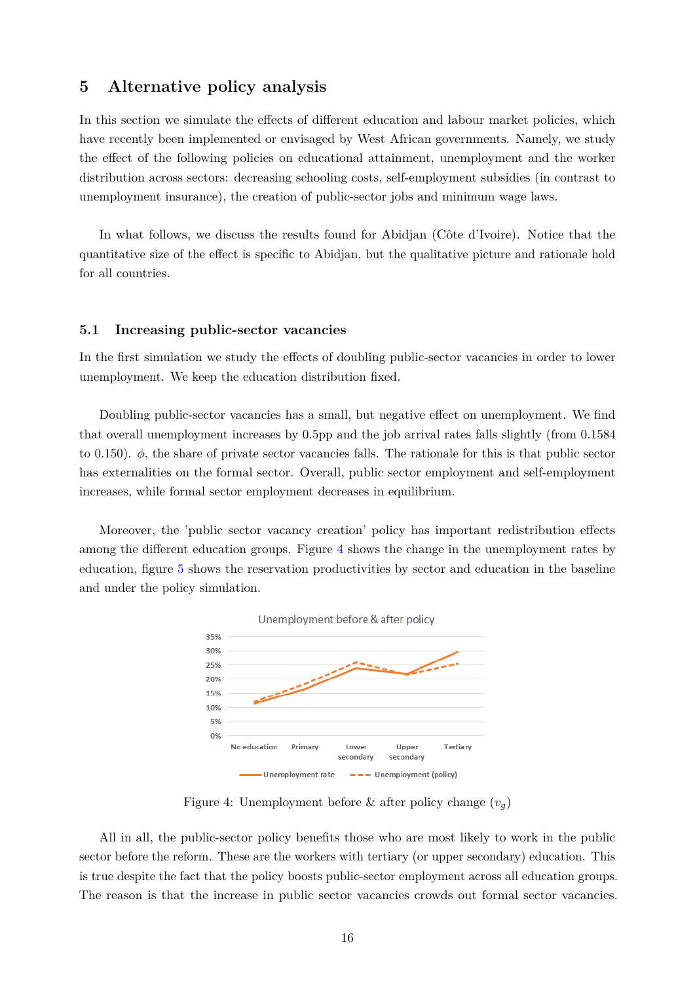# <span id="page-15-0"></span>**5 Alternative policy analysis**

In this section we simulate the effects of different education and labour market policies, which have recently been implemented or envisaged by West African governments. Namely, we study the effect of the following policies on educational attainment, unemployment and the worker distribution across sectors: decreasing schooling costs, self-employment subsidies (in contrast to unemployment insurance), the creation of public-sector jobs and minimum wage laws.

In what follows, we discuss the results found for Abidjan (Côte d'Ivoire). Notice that the quantitative size of the effect is specific to Abidjan, but the qualitative picture and rationale hold for all countries.

### **5.1 Increasing public-sector vacancies**

In the first simulation we study the effects of doubling public-sector vacancies in order to lower unemployment. We keep the education distribution fixed.

Doubling public-sector vacancies has a small, but negative effect on unemployment. We find that overall unemployment increases by 0.5pp and the job arrival rates falls slightly (from 0.1584 to 0.150). *φ*, the share of private sector vacancies falls. The rationale for this is that public sector has externalities on the formal sector. Overall, public sector employment and self-employment increases, while formal sector employment decreases in equilibrium.

<span id="page-15-1"></span>Moreover, the 'public sector vacancy creation' policy has important redistribution effects among the different education groups. Figure [4](#page-15-1) shows the change in the unemployment rates by education, figure [5](#page-16-0) shows the reservation productivities by sector and education in the baseline and under the policy simulation.



Figure 4: Unemployment before & after policy change  $(v_q)$ 

All in all, the public-sector policy benefits those who are most likely to work in the public sector before the reform. These are the workers with tertiary (or upper secondary) education. This is true despite the fact that the policy boosts public-sector employment across all education groups. The reason is that the increase in public sector vacancies crowds out formal sector vacancies.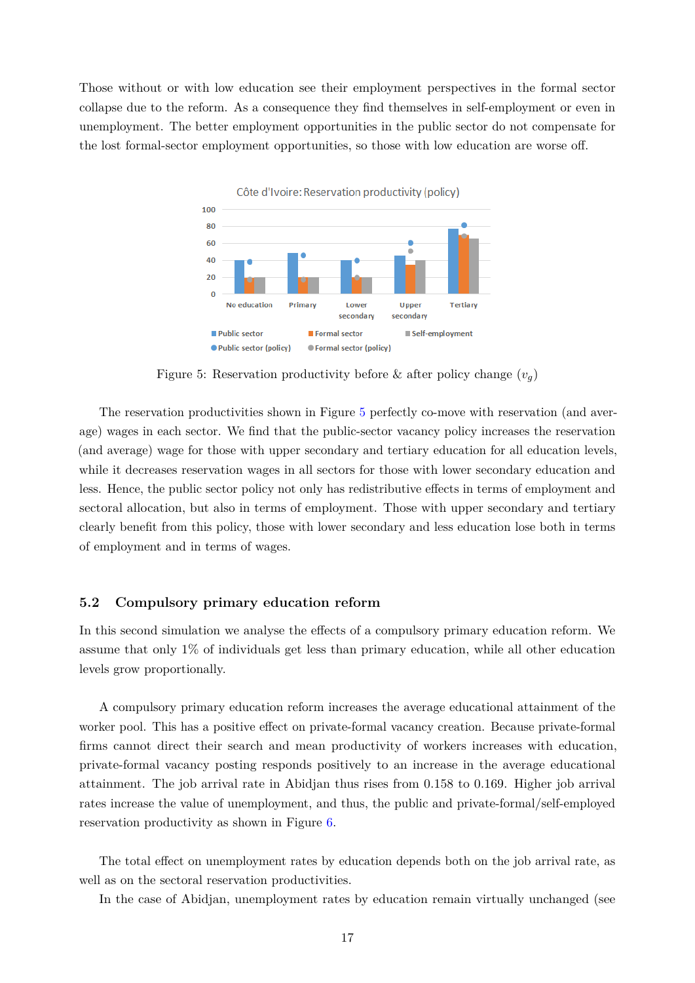<span id="page-16-0"></span>Those without or with low education see their employment perspectives in the formal sector collapse due to the reform. As a consequence they find themselves in self-employment or even in unemployment. The better employment opportunities in the public sector do not compensate for the lost formal-sector employment opportunities, so those with low education are worse off.



Figure 5: Reservation productivity before & after policy change  $(v_q)$ 

The reservation productivities shown in Figure [5](#page-16-0) perfectly co-move with reservation (and average) wages in each sector. We find that the public-sector vacancy policy increases the reservation (and average) wage for those with upper secondary and tertiary education for all education levels, while it decreases reservation wages in all sectors for those with lower secondary education and less. Hence, the public sector policy not only has redistributive effects in terms of employment and sectoral allocation, but also in terms of employment. Those with upper secondary and tertiary clearly benefit from this policy, those with lower secondary and less education lose both in terms of employment and in terms of wages.

### **5.2 Compulsory primary education reform**

In this second simulation we analyse the effects of a compulsory primary education reform. We assume that only 1% of individuals get less than primary education, while all other education levels grow proportionally.

A compulsory primary education reform increases the average educational attainment of the worker pool. This has a positive effect on private-formal vacancy creation. Because private-formal firms cannot direct their search and mean productivity of workers increases with education, private-formal vacancy posting responds positively to an increase in the average educational attainment. The job arrival rate in Abidjan thus rises from 0.158 to 0.169. Higher job arrival rates increase the value of unemployment, and thus, the public and private-formal/self-employed reservation productivity as shown in Figure [6.](#page-17-0)

The total effect on unemployment rates by education depends both on the job arrival rate, as well as on the sectoral reservation productivities.

In the case of Abidjan, unemployment rates by education remain virtually unchanged (see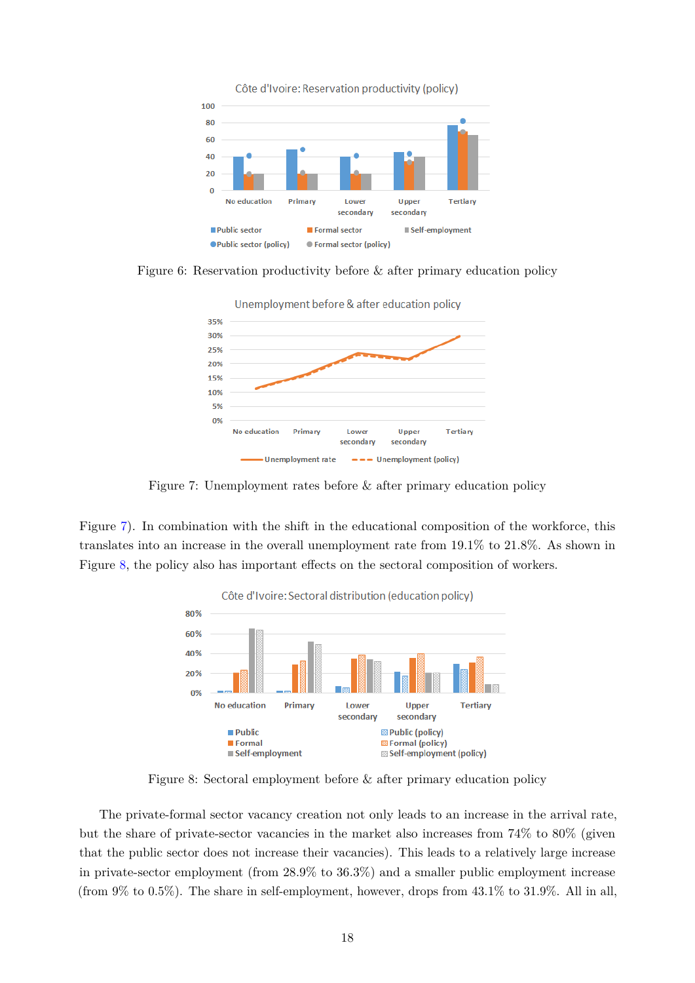<span id="page-17-0"></span>

<span id="page-17-1"></span>Figure 6: Reservation productivity before & after primary education policy



Figure 7: Unemployment rates before & after primary education policy

<span id="page-17-2"></span>Figure [7\)](#page-17-1). In combination with the shift in the educational composition of the workforce, this translates into an increase in the overall unemployment rate from 19.1% to 21.8%. As shown in Figure [8,](#page-17-2) the policy also has important effects on the sectoral composition of workers.



Figure 8: Sectoral employment before & after primary education policy

The private-formal sector vacancy creation not only leads to an increase in the arrival rate, but the share of private-sector vacancies in the market also increases from 74% to 80% (given that the public sector does not increase their vacancies). This leads to a relatively large increase in private-sector employment (from 28.9% to 36.3%) and a smaller public employment increase (from  $9\%$  to  $0.5\%$ ). The share in self-employment, however, drops from  $43.1\%$  to  $31.9\%$ . All in all,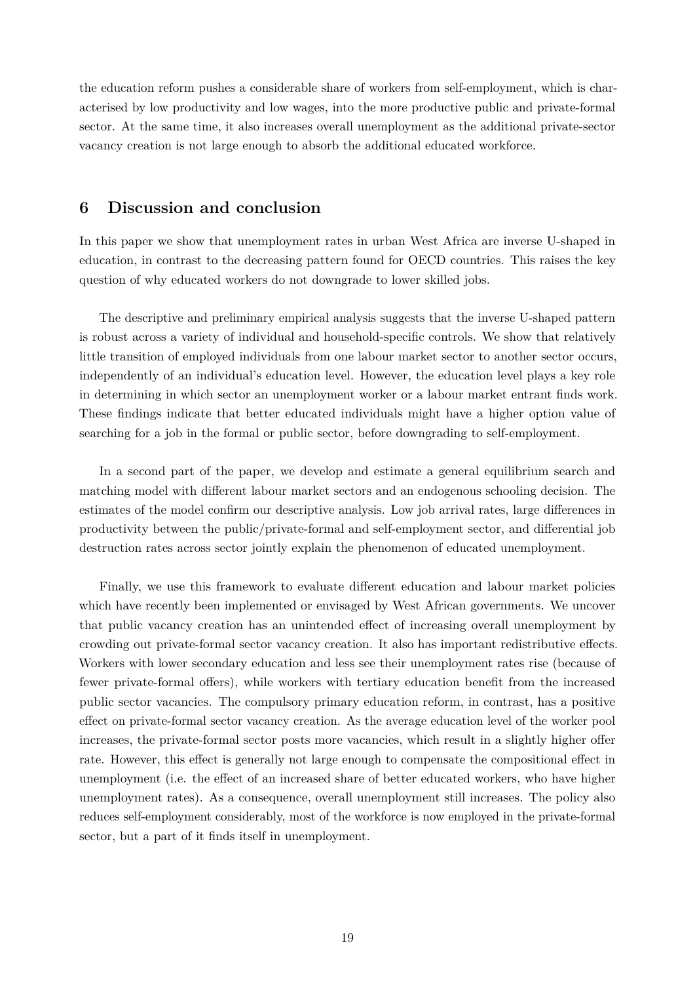the education reform pushes a considerable share of workers from self-employment, which is characterised by low productivity and low wages, into the more productive public and private-formal sector. At the same time, it also increases overall unemployment as the additional private-sector vacancy creation is not large enough to absorb the additional educated workforce.

# <span id="page-18-0"></span>**6 Discussion and conclusion**

In this paper we show that unemployment rates in urban West Africa are inverse U-shaped in education, in contrast to the decreasing pattern found for OECD countries. This raises the key question of why educated workers do not downgrade to lower skilled jobs.

The descriptive and preliminary empirical analysis suggests that the inverse U-shaped pattern is robust across a variety of individual and household-specific controls. We show that relatively little transition of employed individuals from one labour market sector to another sector occurs, independently of an individual's education level. However, the education level plays a key role in determining in which sector an unemployment worker or a labour market entrant finds work. These findings indicate that better educated individuals might have a higher option value of searching for a job in the formal or public sector, before downgrading to self-employment.

In a second part of the paper, we develop and estimate a general equilibrium search and matching model with different labour market sectors and an endogenous schooling decision. The estimates of the model confirm our descriptive analysis. Low job arrival rates, large differences in productivity between the public/private-formal and self-employment sector, and differential job destruction rates across sector jointly explain the phenomenon of educated unemployment.

Finally, we use this framework to evaluate different education and labour market policies which have recently been implemented or envisaged by West African governments. We uncover that public vacancy creation has an unintended effect of increasing overall unemployment by crowding out private-formal sector vacancy creation. It also has important redistributive effects. Workers with lower secondary education and less see their unemployment rates rise (because of fewer private-formal offers), while workers with tertiary education benefit from the increased public sector vacancies. The compulsory primary education reform, in contrast, has a positive effect on private-formal sector vacancy creation. As the average education level of the worker pool increases, the private-formal sector posts more vacancies, which result in a slightly higher offer rate. However, this effect is generally not large enough to compensate the compositional effect in unemployment (i.e. the effect of an increased share of better educated workers, who have higher unemployment rates). As a consequence, overall unemployment still increases. The policy also reduces self-employment considerably, most of the workforce is now employed in the private-formal sector, but a part of it finds itself in unemployment.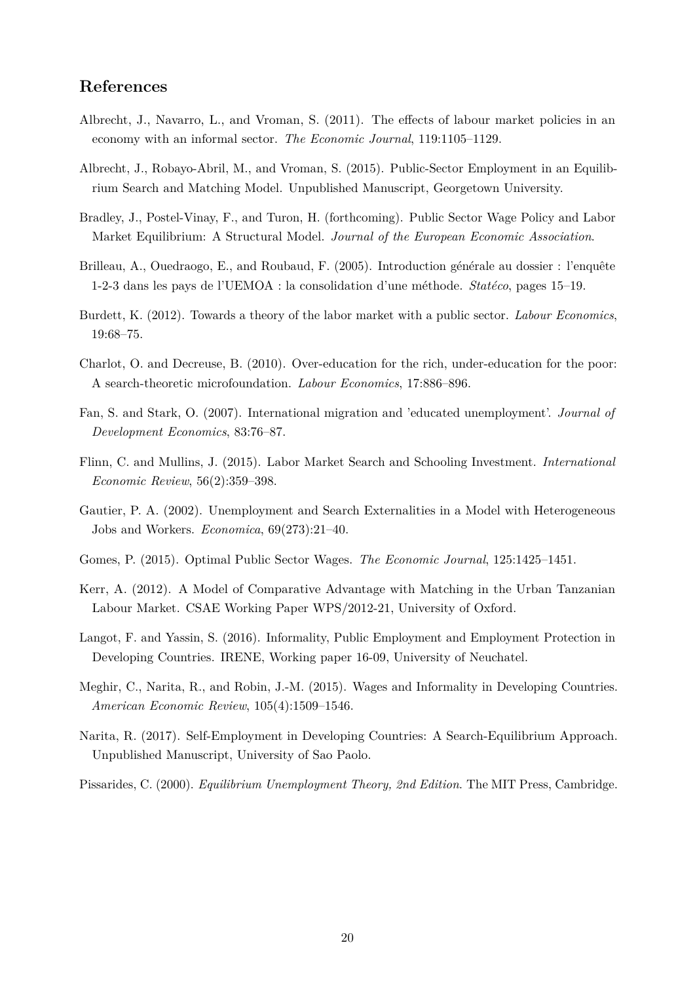# **References**

- <span id="page-19-6"></span>Albrecht, J., Navarro, L., and Vroman, S. (2011). The effects of labour market policies in an economy with an informal sector. *The Economic Journal*, 119:1105–1129.
- <span id="page-19-4"></span>Albrecht, J., Robayo-Abril, M., and Vroman, S. (2015). Public-Sector Employment in an Equilibrium Search and Matching Model. Unpublished Manuscript, Georgetown University.
- <span id="page-19-2"></span>Bradley, J., Postel-Vinay, F., and Turon, H. (forthcoming). Public Sector Wage Policy and Labor Market Equilibrium: A Structural Model. *Journal of the European Economic Association*.
- <span id="page-19-13"></span>Brilleau, A., Ouedraogo, E., and Roubaud, F. (2005). Introduction générale au dossier : l'enquête 1-2-3 dans les pays de l'UEMOA : la consolidation d'une m´ethode. *Stat´eco*, pages 15–19.
- <span id="page-19-1"></span>Burdett, K. (2012). Towards a theory of the labor market with a public sector. *Labour Economics*, 19:68–75.
- <span id="page-19-10"></span>Charlot, O. and Decreuse, B. (2010). Over-education for the rich, under-education for the poor: A search-theoretic microfoundation. *Labour Economics*, 17:886–896.
- <span id="page-19-12"></span>Fan, S. and Stark, O. (2007). International migration and 'educated unemployment'. *Journal of Development Economics*, 83:76–87.
- <span id="page-19-11"></span>Flinn, C. and Mullins, J. (2015). Labor Market Search and Schooling Investment. *International Economic Review*, 56(2):359–398.
- <span id="page-19-9"></span>Gautier, P. A. (2002). Unemployment and Search Externalities in a Model with Heterogeneous Jobs and Workers. *Economica*, 69(273):21–40.
- <span id="page-19-3"></span>Gomes, P. (2015). Optimal Public Sector Wages. *The Economic Journal*, 125:1425–1451.
- <span id="page-19-7"></span>Kerr, A. (2012). A Model of Comparative Advantage with Matching in the Urban Tanzanian Labour Market. CSAE Working Paper WPS/2012-21, University of Oxford.
- <span id="page-19-5"></span>Langot, F. and Yassin, S. (2016). Informality, Public Employment and Employment Protection in Developing Countries. IRENE, Working paper 16-09, University of Neuchatel.
- <span id="page-19-14"></span>Meghir, C., Narita, R., and Robin, J.-M. (2015). Wages and Informality in Developing Countries. *American Economic Review*, 105(4):1509–1546.
- <span id="page-19-8"></span>Narita, R. (2017). Self-Employment in Developing Countries: A Search-Equilibrium Approach. Unpublished Manuscript, University of Sao Paolo.
- <span id="page-19-0"></span>Pissarides, C. (2000). *Equilibrium Unemployment Theory, 2nd Edition*. The MIT Press, Cambridge.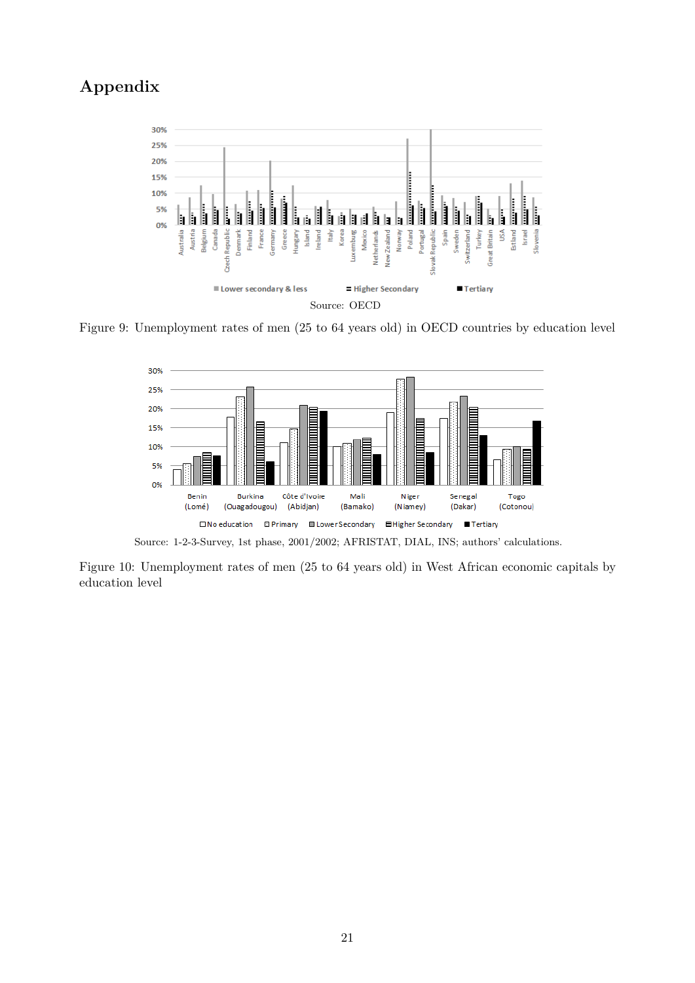# **Appendix**



Figure 9: Unemployment rates of men (25 to 64 years old) in OECD countries by education level



Source: 1-2-3-Survey, 1st phase, 2001/2002; AFRISTAT, DIAL, INS; authors' calculations.

Figure 10: Unemployment rates of men (25 to 64 years old) in West African economic capitals by education level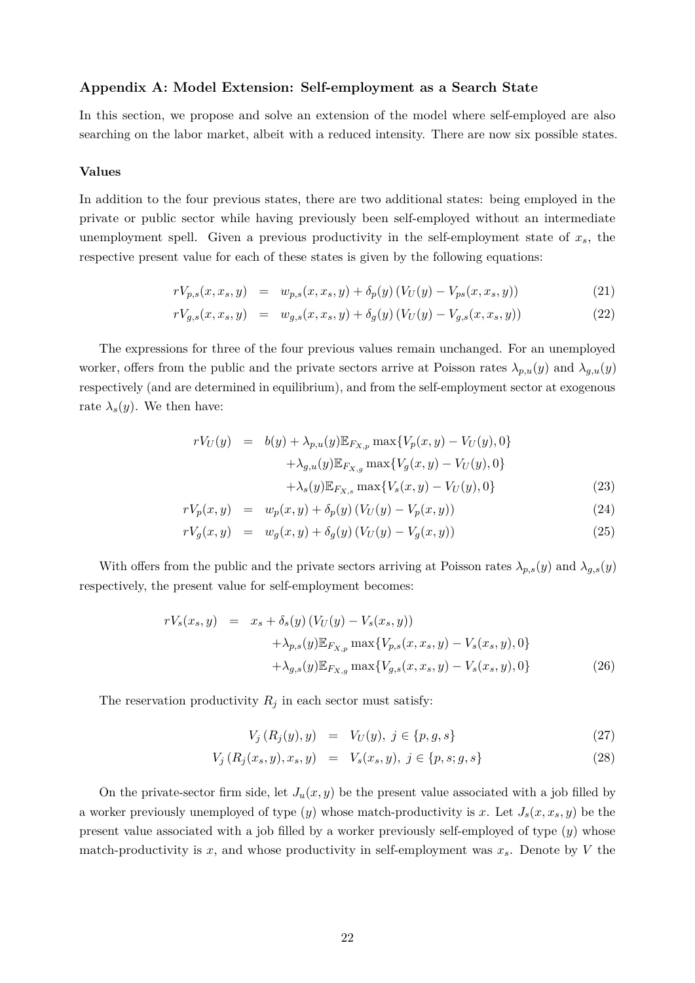### **Appendix A: Model Extension: Self-employment as a Search State**

In this section, we propose and solve an extension of the model where self-employed are also searching on the labor market, albeit with a reduced intensity. There are now six possible states.

### **Values**

In addition to the four previous states, there are two additional states: being employed in the private or public sector while having previously been self-employed without an intermediate unemployment spell. Given a previous productivity in the self-employment state of *xs*, the respective present value for each of these states is given by the following equations:

<span id="page-21-0"></span>
$$
rV_{p,s}(x, x_s, y) = w_{p,s}(x, x_s, y) + \delta_p(y) \left( V_U(y) - V_{ps}(x, x_s, y) \right) \tag{21}
$$

$$
rV_{g,s}(x, x_s, y) = w_{g,s}(x, x_s, y) + \delta_g(y) \left( V_U(y) - V_{g,s}(x, x_s, y) \right) \tag{22}
$$

The expressions for three of the four previous values remain unchanged. For an unemployed worker, offers from the public and the private sectors arrive at Poisson rates  $\lambda_{p,u}(y)$  and  $\lambda_{g,u}(y)$ respectively (and are determined in equilibrium), and from the self-employment sector at exogenous rate  $\lambda_s(y)$ . We then have:

<span id="page-21-3"></span>
$$
rV_U(y) = b(y) + \lambda_{p,u}(y) \mathbb{E}_{F_{X,p}} \max\{V_p(x, y) - V_U(y), 0\} + \lambda_{g,u}(y) \mathbb{E}_{F_{X,g}} \max\{V_g(x, y) - V_U(y), 0\} + \lambda_s(y) \mathbb{E}_{F_{X,s}} \max\{V_s(x, y) - V_U(y), 0\}
$$
(23)

$$
rV_p(x, y) = w_p(x, y) + \delta_p(y) (V_U(y) - V_p(x, y))
$$
\n(24)

$$
rV_g(x, y) = w_g(x, y) + \delta_g(y) (V_U(y) - V_g(x, y))
$$
\n(25)

With offers from the public and the private sectors arriving at Poisson rates  $\lambda_{p,s}(y)$  and  $\lambda_{g,s}(y)$ respectively, the present value for self-employment becomes:

<span id="page-21-2"></span>
$$
rV_s(x_s, y) = x_s + \delta_s(y) (V_U(y) - V_s(x_s, y)) + \lambda_{p,s}(y) \mathbb{E}_{F_{X,p}} \max\{V_{p,s}(x, x_s, y) - V_s(x_s, y), 0\} + \lambda_{g,s}(y) \mathbb{E}_{F_{X,g}} \max\{V_{g,s}(x, x_s, y) - V_s(x_s, y), 0\}
$$
(26)

The reservation productivity  $R_j$  in each sector must satisfy:

<span id="page-21-1"></span>
$$
V_j(R_j(y), y) = V_U(y), \ j \in \{p, g, s\} \tag{27}
$$

$$
V_j(R_j(x_s, y), x_s, y) = V_s(x_s, y), j \in \{p, s; g, s\}
$$
\n(28)

On the private-sector firm side, let  $J_u(x, y)$  be the present value associated with a job filled by a worker previously unemployed of type (*y*) whose match-productivity is *x*. Let *Js*(*x, xs, y*) be the present value associated with a job filled by a worker previously self-employed of type (*y*) whose match-productivity is  $x$ , and whose productivity in self-employment was  $x_s$ . Denote by  $V$  the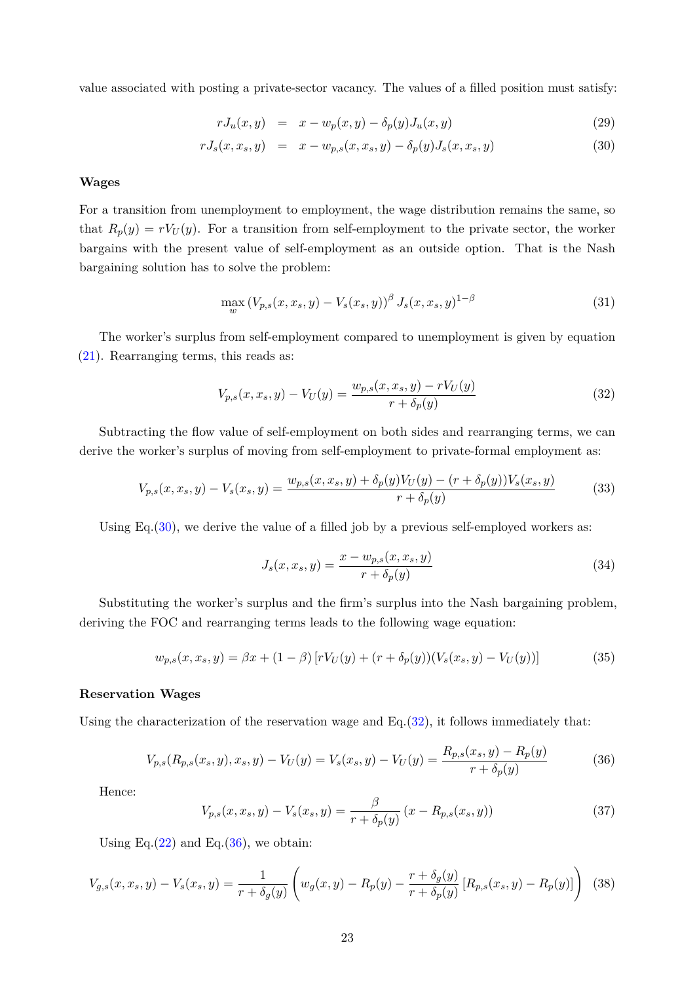value associated with posting a private-sector vacancy. The values of a filled position must satisfy:

<span id="page-22-0"></span>
$$
rJ_u(x,y) = x - w_p(x,y) - \delta_p(y)J_u(x,y)
$$
\n(29)

$$
rJ_s(x, x_s, y) = x - w_{p,s}(x, x_s, y) - \delta_p(y)J_s(x, x_s, y)
$$
\n(30)

#### **Wages**

For a transition from unemployment to employment, the wage distribution remains the same, so that  $R_p(y) = rV_U(y)$ . For a transition from self-employment to the private sector, the worker bargains with the present value of self-employment as an outside option. That is the Nash bargaining solution has to solve the problem:

$$
\max_{w} \left( V_{p,s}(x, x_s, y) - V_s(x_s, y) \right)^{\beta} J_s(x, x_s, y)^{1-\beta} \tag{31}
$$

The worker's surplus from self-employment compared to unemployment is given by equation [\(21\)](#page-21-0). Rearranging terms, this reads as:

<span id="page-22-1"></span>
$$
V_{p,s}(x, x_s, y) - V_U(y) = \frac{w_{p,s}(x, x_s, y) - rV_U(y)}{r + \delta_p(y)}
$$
\n(32)

Subtracting the flow value of self-employment on both sides and rearranging terms, we can derive the worker's surplus of moving from self-employment to private-formal employment as:

$$
V_{p,s}(x, x_s, y) - V_s(x_s, y) = \frac{w_{p,s}(x, x_s, y) + \delta_p(y)V_U(y) - (r + \delta_p(y))V_s(x_s, y)}{r + \delta_p(y)}
$$
(33)

Using Eq.  $(30)$ , we derive the value of a filled job by a previous self-employed workers as:

$$
J_s(x, x_s, y) = \frac{x - w_{p,s}(x, x_s, y)}{r + \delta_p(y)}
$$
\n(34)

Substituting the worker's surplus and the firm's surplus into the Nash bargaining problem, deriving the FOC and rearranging terms leads to the following wage equation:

$$
w_{p,s}(x, x_s, y) = \beta x + (1 - \beta) \left[ r V_U(y) + (r + \delta_p(y)) (V_s(x_s, y) - V_U(y)) \right]
$$
(35)

### **Reservation Wages**

Using the characterization of the reservation wage and  $Eq.(32)$  $Eq.(32)$ , it follows immediately that:

<span id="page-22-2"></span>
$$
V_{p,s}(R_{p,s}(x_s, y), x_s, y) - V_U(y) = V_s(x_s, y) - V_U(y) = \frac{R_{p,s}(x_s, y) - R_p(y)}{r + \delta_p(y)}
$$
(36)

Hence:

$$
V_{p,s}(x, x_s, y) - V_s(x_s, y) = \frac{\beta}{r + \delta_p(y)} (x - R_{p,s}(x_s, y))
$$
\n(37)

Using Eq. $(22)$  and Eq. $(36)$ , we obtain:

$$
V_{g,s}(x, x_s, y) - V_s(x_s, y) = \frac{1}{r + \delta_g(y)} \left( w_g(x, y) - R_p(y) - \frac{r + \delta_g(y)}{r + \delta_p(y)} \left[ R_{p,s}(x_s, y) - R_p(y) \right] \right)
$$
(38)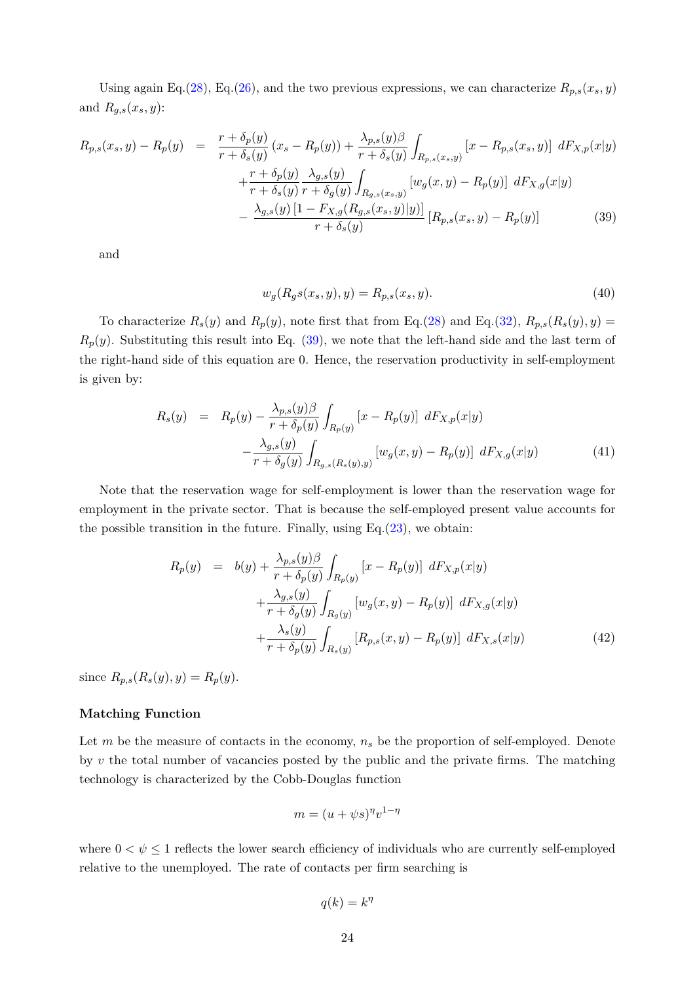Using again Eq.[\(28\)](#page-21-1), Eq.[\(26\)](#page-21-2), and the two previous expressions, we can characterize  $R_{p,s}(x_s, y)$ and  $R_{g,s}(x_s, y)$ :

<span id="page-23-0"></span>
$$
R_{p,s}(x_s, y) - R_p(y) = \frac{r + \delta_p(y)}{r + \delta_s(y)} (x_s - R_p(y)) + \frac{\lambda_{p,s}(y)\beta}{r + \delta_s(y)} \int_{R_{p,s}(x_s, y)} [x - R_{p,s}(x_s, y)] dF_{X,p}(x|y) + \frac{r + \delta_p(y)}{r + \delta_s(y)} \frac{\lambda_{g,s}(y)}{r + \delta_g(y)} \int_{R_{g,s}(x_s, y)} [w_g(x, y) - R_p(y)] dF_{X,g}(x|y) - \frac{\lambda_{g,s}(y)[1 - F_{X,g}(R_{g,s}(x_s, y)|y)]}{r + \delta_s(y)} [R_{p,s}(x_s, y) - R_p(y)]
$$
(39)

and

$$
w_g(R_g s(x_s, y), y) = R_{p,s}(x_s, y). \tag{40}
$$

To characterize  $R_s(y)$  and  $R_p(y)$ , note first that from Eq.[\(28\)](#page-21-1) and Eq.[\(32\)](#page-22-1),  $R_{p,s}(R_s(y), y) =$  $R_p(y)$ . Substituting this result into Eq. [\(39\)](#page-23-0), we note that the left-hand side and the last term of the right-hand side of this equation are 0. Hence, the reservation productivity in self-employment is given by:

$$
R_s(y) = R_p(y) - \frac{\lambda_{p,s}(y)\beta}{r + \delta_p(y)} \int_{R_p(y)} [x - R_p(y)] dF_{X,p}(x|y) - \frac{\lambda_{g,s}(y)}{r + \delta_g(y)} \int_{R_{g,s}(R_s(y),y)} [w_g(x,y) - R_p(y)] dF_{X,g}(x|y)
$$
(41)

Note that the reservation wage for self-employment is lower than the reservation wage for employment in the private sector. That is because the self-employed present value accounts for the possible transition in the future. Finally, using Eq. $(23)$ , we obtain:

$$
R_p(y) = b(y) + \frac{\lambda_{p,s}(y)\beta}{r + \delta_p(y)} \int_{R_p(y)} [x - R_p(y)] \, dF_{X,p}(x|y) + \frac{\lambda_{g,s}(y)}{r + \delta_g(y)} \int_{R_g(y)} [w_g(x, y) - R_p(y)] \, dF_{X,g}(x|y) + \frac{\lambda_s(y)}{r + \delta_p(y)} \int_{R_s(y)} [R_{p,s}(x, y) - R_p(y)] \, dF_{X,s}(x|y)
$$
(42)

 $\text{since } R_{p,s}(R_s(y), y) = R_p(y).$ 

### **Matching Function**

Let *m* be the measure of contacts in the economy,  $n<sub>s</sub>$  be the proportion of self-employed. Denote by *v* the total number of vacancies posted by the public and the private firms. The matching technology is characterized by the Cobb-Douglas function

$$
m = (u + \psi s)^{\eta} v^{1-\eta}
$$

where  $0 < \psi \leq 1$  reflects the lower search efficiency of individuals who are currently self-employed relative to the unemployed. The rate of contacts per firm searching is

$$
q(k) = k^{\eta}
$$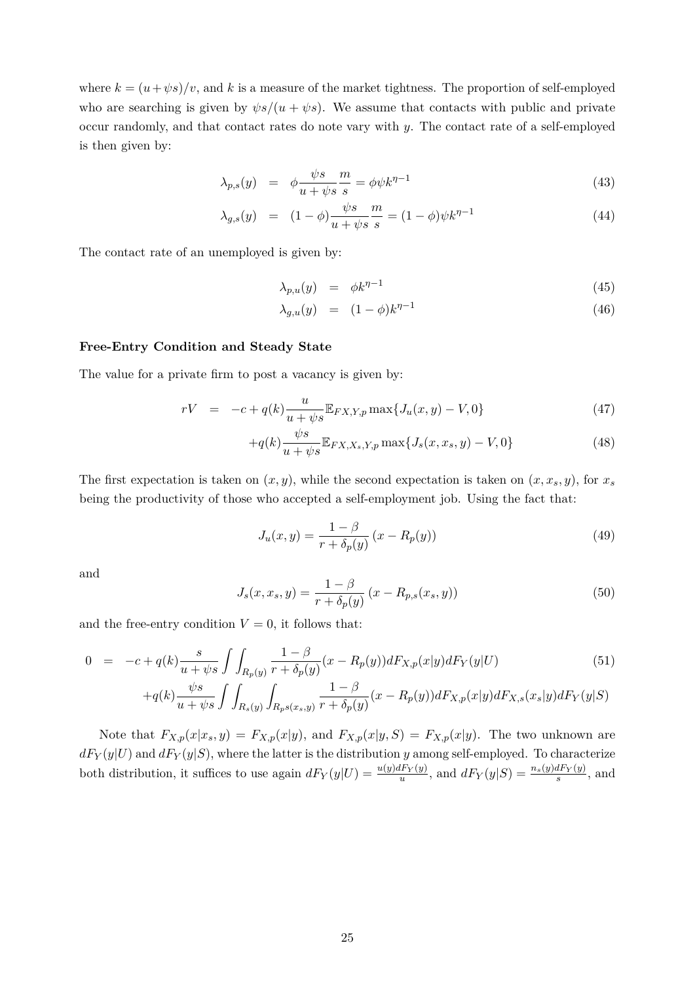where  $k = (u + \psi s)/v$ , and k is a measure of the market tightness. The proportion of self-employed who are searching is given by  $\psi s/(u + \psi s)$ . We assume that contacts with public and private occur randomly, and that contact rates do note vary with *y*. The contact rate of a self-employed is then given by:

$$
\lambda_{p,s}(y) = \phi \frac{\psi s}{u + \psi s} \frac{m}{s} = \phi \psi k^{\eta - 1}
$$
\n(43)

$$
\lambda_{g,s}(y) = (1 - \phi) \frac{\psi s}{u + \psi s} \frac{m}{s} = (1 - \phi) \psi k^{\eta - 1}
$$
\n(44)

The contact rate of an unemployed is given by:

$$
\lambda_{p,u}(y) = \phi k^{\eta - 1} \tag{45}
$$

$$
\lambda_{g,u}(y) = (1 - \phi)k^{\eta - 1} \tag{46}
$$

### **Free-Entry Condition and Steady State**

The value for a private firm to post a vacancy is given by:

$$
rV = -c + q(k)\frac{u}{u + \psi s} \mathbb{E}_{FX,Y,p} \max\{J_u(x,y) - V, 0\}
$$
\n(47)

$$
+q(k)\frac{\psi s}{u+\psi s}\mathbb{E}_{FX,X_s,Y,p}\max\{J_s(x,x_s,y)-V,0\}
$$
 (48)

The first expectation is taken on  $(x, y)$ , while the second expectation is taken on  $(x, x_s, y)$ , for  $x_s$ being the productivity of those who accepted a self-employment job. Using the fact that:

$$
J_u(x, y) = \frac{1 - \beta}{r + \delta_p(y)} (x - R_p(y))
$$
\n(49)

and

$$
J_s(x, x_s, y) = \frac{1 - \beta}{r + \delta_p(y)} (x - R_{p,s}(x_s, y))
$$
\n(50)

and the free-entry condition  $V = 0$ , it follows that:

$$
0 = -c + q(k) \frac{s}{u + \psi s} \int \int_{R_p(y)} \frac{1 - \beta}{r + \delta_p(y)} (x - R_p(y)) dF_{X,p}(x|y) dF_Y(y|U) \tag{51}
$$

$$
+ q(k) \frac{\psi s}{u + \psi s} \int \int_{R_s(y)} \int_{R_p s(x_s, y)} \frac{1 - \beta}{r + \delta_p(y)} (x - R_p(y)) dF_{X,p}(x|y) dF_{X,s}(x_s|y) dF_Y(y|S)
$$

Note that  $F_{X,p}(x|x_s,y) = F_{X,p}(x|y)$ , and  $F_{X,p}(x|y,S) = F_{X,p}(x|y)$ . The two unknown are  $dF_Y(y|U)$  and  $dF_Y(y|S)$ , where the latter is the distribution *y* among self-employed. To characterize both distribution, it suffices to use again  $dF_Y(y|U) = \frac{u(y)dF_Y(y)}{u}$ , and  $dF_Y(y|S) = \frac{n_s(y)dF_Y(y)}{s}$ , and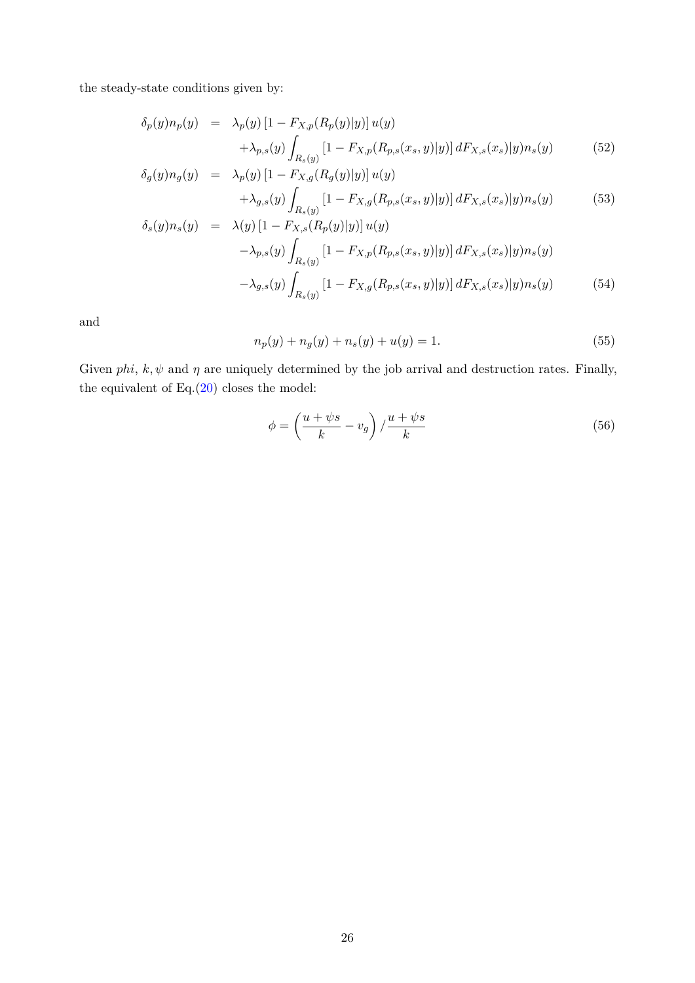the steady-state conditions given by:

$$
\delta_p(y)n_p(y) = \lambda_p(y) \left[1 - F_{X,p}(R_p(y)|y)\right] u(y) \n+ \lambda_{p,s}(y) \int_{R_s(y)} \left[1 - F_{X,p}(R_{p,s}(x_s, y)|y)\right] dF_{X,s}(x_s)|y) n_s(y)
$$
\n(52)

$$
\delta_g(y)n_g(y) = \lambda_p(y) \left[1 - F_{X,g}(R_g(y)|y)\right] u(y) \n+ \lambda_{g,s}(y) \int_{R_s(y)} \left[1 - F_{X,g}(R_{p,s}(x_s, y)|y)\right] dF_{X,s}(x_s)|y) n_s(y)
$$
\n(53)

$$
\delta_s(y)n_s(y) = \lambda(y) \left[1 - F_{X,s}(R_p(y)|y)\right] u(y) \n- \lambda_{p,s}(y) \int_{R_s(y)} \left[1 - F_{X,p}(R_{p,s}(x_s, y)|y)\right] dF_{X,s}(x_s)|y) n_s(y) \n- \lambda_{g,s}(y) \int_{R_s(y)} \left[1 - F_{X,g}(R_{p,s}(x_s, y)|y)\right] dF_{X,s}(x_s)|y) n_s(y)
$$
\n(54)

and

$$
n_p(y) + n_g(y) + n_s(y) + u(y) = 1.
$$
\n(55)

Given *phi*,  $k, \psi$  and  $\eta$  are uniquely determined by the job arrival and destruction rates. Finally, the equivalent of  $Eq.(20)$  $Eq.(20)$  closes the model:

$$
\phi = \left(\frac{u + \psi s}{k} - v_g\right) / \frac{u + \psi s}{k} \tag{56}
$$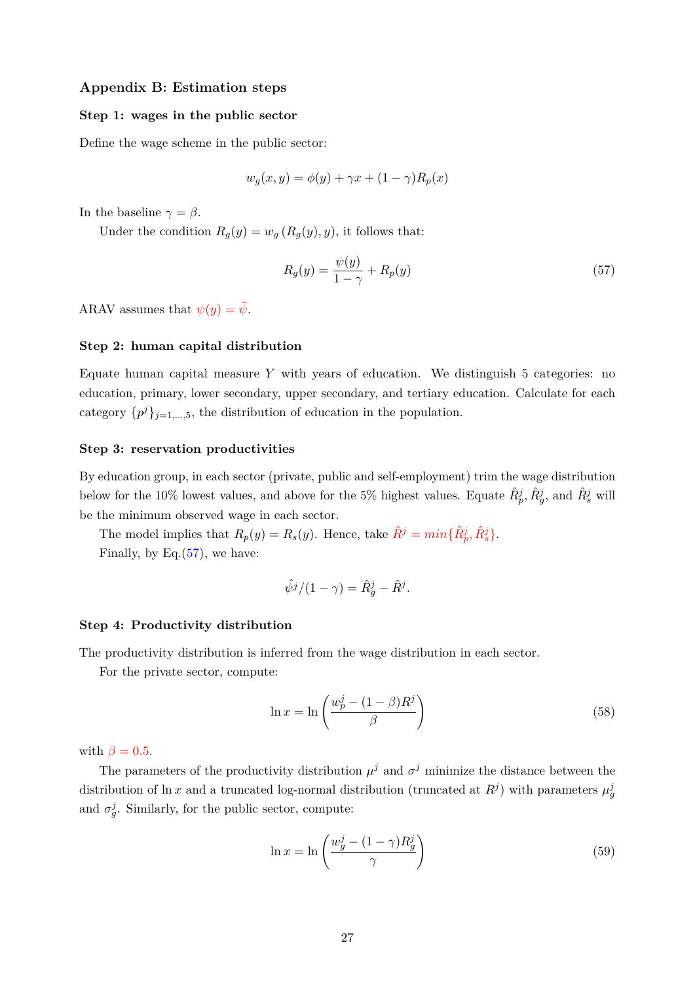### **Appendix B: Estimation steps**

### **Step 1: wages in the public sector**

Define the wage scheme in the public sector:

$$
w_g(x, y) = \phi(y) + \gamma x + (1 - \gamma) R_p(x)
$$

In the baseline  $\gamma = \beta$ .

Under the condition  $R_g(y) = w_g(R_g(y), y)$ , it follows that:

<span id="page-26-0"></span>
$$
R_g(y) = \frac{\psi(y)}{1 - \gamma} + R_p(y) \tag{57}
$$

ARAV assumes that  $\psi(y) = \bar{\psi}$ .

#### **Step 2: human capital distribution**

Equate human capital measure *Y* with years of education. We distinguish 5 categories: no education, primary, lower secondary, upper secondary, and tertiary education. Calculate for each category  $\{p^j\}_{j=1,\dots,5}$ , the distribution of education in the population.

### **Step 3: reservation productivities**

By education group, in each sector (private, public and self-employment) trim the wage distribution below for the 10% lowest values, and above for the 5% highest values. Equate  $\hat{R}_p^j$ ,  $\hat{R}_g^j$ , and  $\hat{R}_s^j$  will be the minimum observed wage in each sector.

The model implies that  $R_p(y) = R_s(y)$ . Hence, take  $\hat{R}^j = min\{\hat{R}^j_p, \hat{R}^j_s\}$ . Finally, by Eq. $(57)$ , we have:

$$
\hat{\psi}^j/(1-\gamma) = \hat{R}_g^j - \hat{R}^j.
$$

### **Step 4: Productivity distribution**

The productivity distribution is inferred from the wage distribution in each sector.

For the private sector, compute:

$$
\ln x = \ln \left( \frac{w_p^j - (1 - \beta)R^j}{\beta} \right) \tag{58}
$$

with  $\beta = 0.5$ .

The parameters of the productivity distribution  $\mu^j$  and  $\sigma^j$  minimize the distance between the distribution of ln *x* and a truncated log-normal distribution (truncated at  $R^j$ ) with parameters  $\mu_g^j$ and  $\sigma_g^j$ . Similarly, for the public sector, compute:

$$
\ln x = \ln \left( \frac{w_g^j - (1 - \gamma) R_g^j}{\gamma} \right) \tag{59}
$$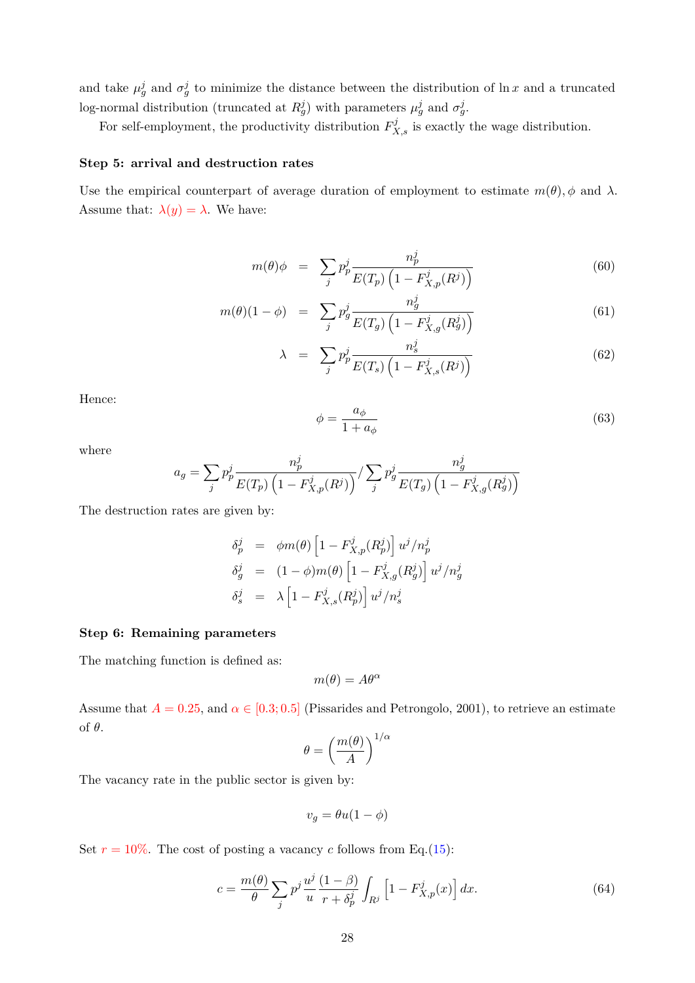and take  $\mu_g^j$  and  $\sigma_g^j$  to minimize the distance between the distribution of ln *x* and a truncated log-normal distribution (truncated at  $R_g^j$ ) with parameters  $\mu_g^j$  and  $\sigma_g^j$ .

For self-employment, the productivity distribution  $F_{X,s}^j$  is exactly the wage distribution.

### **Step 5: arrival and destruction rates**

Use the empirical counterpart of average duration of employment to estimate  $m(\theta)$ ,  $\phi$  and  $\lambda$ . Assume that:  $\lambda(y) = \lambda$ . We have:

$$
m(\theta)\phi = \sum_{j} p_p^j \frac{n_p^j}{E(T_p) \left(1 - F_{X,p}^j(R^j)\right)} \tag{60}
$$

$$
m(\theta)(1-\phi) = \sum_{j} p_g^j \frac{n_g^j}{E(T_g) \left(1 - F_{X,g}^j(R_g^j)\right)} \tag{61}
$$

$$
\lambda = \sum_{j} p_p^j \frac{n_s^j}{E(T_s) \left(1 - F_{X,s}^j(R^j)\right)} \tag{62}
$$

Hence:

$$
\phi = \frac{a_{\phi}}{1 + a_{\phi}}\tag{63}
$$

where

$$
a_g = \sum_j p_p^j \frac{n_p^j}{E(T_p) \left(1 - F_{X,p}^j(R^j)\right)} / \sum_j p_g^j \frac{n_g^j}{E(T_g) \left(1 - F_{X,g}^j(R_g^j)\right)}
$$

The destruction rates are given by:

$$
\delta_p^j = \phi m(\theta) \left[ 1 - F_{X,p}^j(R_p^j) \right] u^j / n_p^j
$$
  
\n
$$
\delta_g^j = (1 - \phi) m(\theta) \left[ 1 - F_{X,g}^j(R_g^j) \right] u^j / n_g^j
$$
  
\n
$$
\delta_s^j = \lambda \left[ 1 - F_{X,s}^j(R_p^j) \right] u^j / n_s^j
$$

### **Step 6: Remaining parameters**

The matching function is defined as:

$$
m(\theta) = A\theta^{\alpha}
$$

Assume that  $A = 0.25$ , and  $\alpha \in [0.3, 0.5]$  (Pissarides and Petrongolo, 2001), to retrieve an estimate of *θ*.

$$
\theta = \left(\frac{m(\theta)}{A}\right)^{1/\alpha}
$$

The vacancy rate in the public sector is given by:

$$
v_g = \theta u(1 - \phi)
$$

Set  $r = 10\%$ . The cost of posting a vacancy *c* follows from Eq.[\(15\)](#page-12-0):

$$
c = \frac{m(\theta)}{\theta} \sum_{j} p^{j} \frac{u^{j}}{u} \frac{(1-\beta)}{r + \delta_{p}^{j}} \int_{R^{j}} \left[1 - F_{X,p}^{j}(x)\right] dx.
$$
 (64)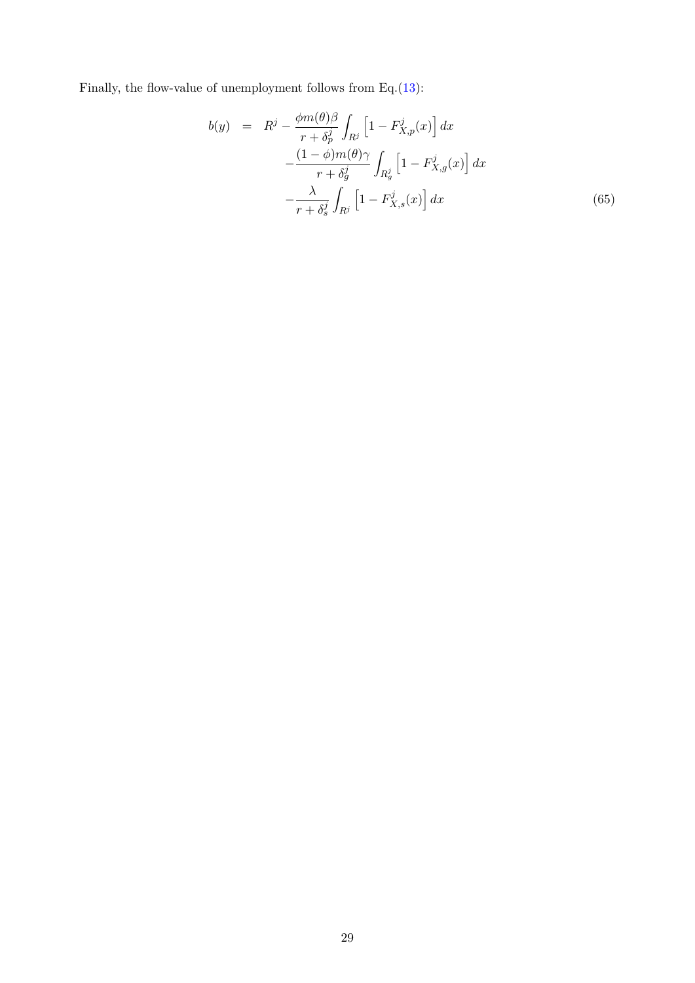Finally, the flow-value of unemployment follows from Eq.[\(13\)](#page-12-1):

$$
b(y) = R^{j} - \frac{\phi m(\theta)\beta}{r + \delta_{p}^{j}} \int_{R^{j}} \left[1 - F_{X,p}^{j}(x)\right] dx
$$

$$
- \frac{(1 - \phi)m(\theta)\gamma}{r + \delta_{g}^{j}} \int_{R_{g}^{j}} \left[1 - F_{X,g}^{j}(x)\right] dx
$$

$$
- \frac{\lambda}{r + \delta_{s}^{j}} \int_{R^{j}} \left[1 - F_{X,s}^{j}(x)\right] dx
$$
(65)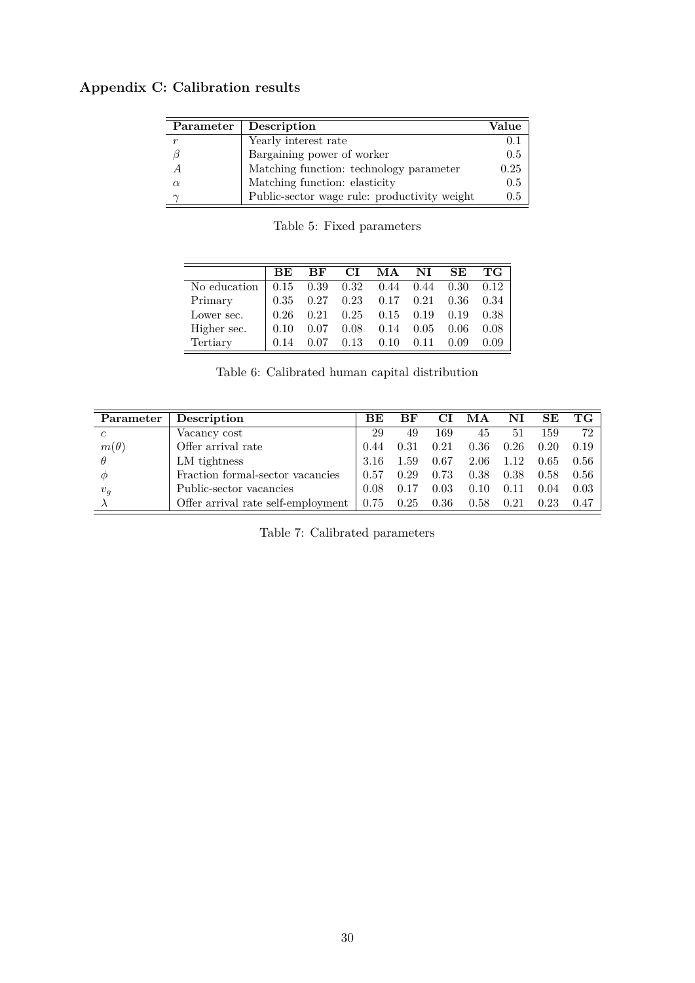# <span id="page-29-0"></span>**Appendix C: Calibration results**

|          | Parameter   Description                      | Value |
|----------|----------------------------------------------|-------|
|          | Yearly interest rate                         |       |
|          | Bargaining power of worker                   | 0.5   |
|          | Matching function: technology parameter      | 0.25  |
| $\alpha$ | Matching function: elasticity                | 0.5   |
|          | Public-sector wage rule: productivity weight | 0.5   |

Table 5: Fixed parameters

<span id="page-29-1"></span>

|              | <b>BE</b> | BF                | CI.  | MA                          | $\mathbf{N}\mathbf{I}$ | SE   | TG 1 |
|--------------|-----------|-------------------|------|-----------------------------|------------------------|------|------|
| No education |           | $0.15 \quad 0.39$ |      | $0.32$ $0.44$ $0.44$ $0.30$ |                        |      | 0.12 |
| Primary      | 0.35      | 0.27              | 0.23 |                             | $0.17 \quad 0.21$      | 0.36 | 0.34 |
| Lower sec.   | 0.26      | 0.21              | 0.25 | 0.15                        | 0.19                   | 0.19 | 0.38 |
| Higher sec.  | 0.10      | 0.07              | 0.08 | 0.14                        | 0.05                   | 0.06 | 0.08 |
| Tertiary     | 0.14      | በ በ7              | 0.13 | 0.10                        | 0.11                   | 0.09 | 0.09 |

Table 6: Calibrated human capital distribution

| Parameter      | Description                        | <b>BE</b> | BF   | СI   | МA   | NI   | SE   | TG              |
|----------------|------------------------------------|-----------|------|------|------|------|------|-----------------|
| $\mathfrak{c}$ | Vacancy cost                       | 29        | 49   | 169  | 45   | 51   | 159  | 72 <sub>1</sub> |
| $m(\theta)$    | Offer arrival rate                 | 0.44      | 0.31 | 0.21 | 0.36 | 0.26 | 0.20 | 0.19            |
| $\theta$       | LM tightness                       | 3.16      | 1.59 | 0.67 | 2.06 | 1.12 | 0.65 | $0.56$          |
| $\varphi$      | Fraction formal-sector vacancies   | 0.57      | 0.29 | 0.73 | 0.38 | 0.38 | 0.58 | $0.56$          |
| $v_g$          | Public-sector vacancies            | 0.08      | 0.17 | 0.03 | 0.10 | 0.11 | 0.04 | $0.03 -$        |
|                | Offer arrival rate self-employment | 0.75      | 0.25 | 0.36 | 0.58 | 0.21 | 0.23 | 0.47            |

Table 7: Calibrated parameters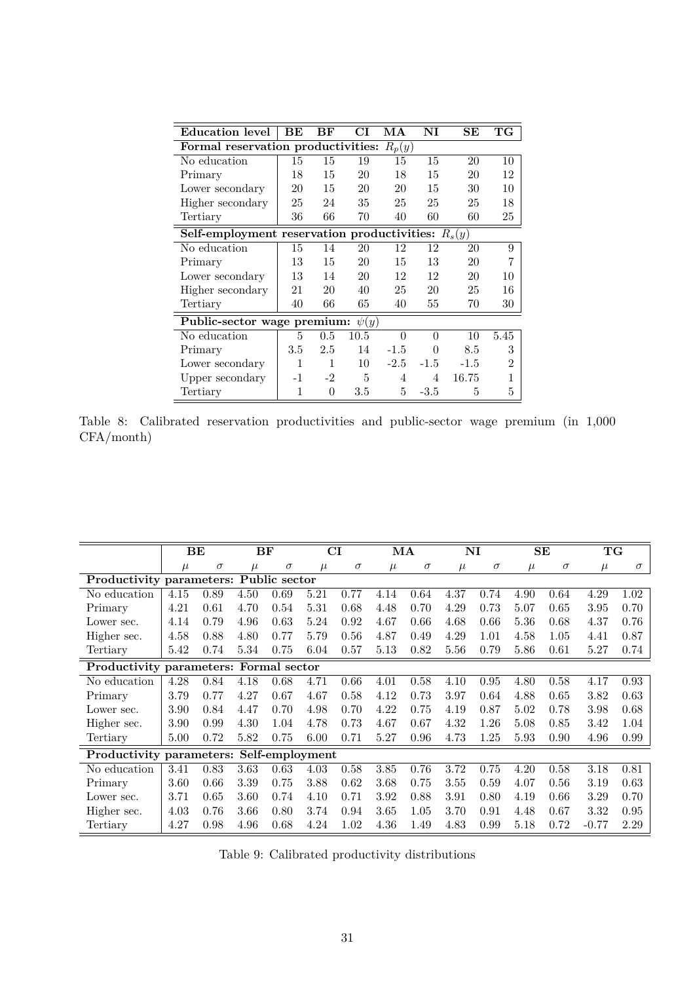| Education level                             | BЕ   | BF       | CI        | МA       | $\mathbf{N}\mathbf{I}$ | SE       | $_{\rm TG}$    |
|---------------------------------------------|------|----------|-----------|----------|------------------------|----------|----------------|
| Formal reservation productivities:          |      |          |           | $R_p(y)$ |                        |          |                |
| No education                                | 15   | 15       | 19        | 15       | 15                     | 20       | 10             |
| Primary                                     | 18   | 15       | 20        | 18       | 15                     | 20       | 12             |
| Lower secondary                             | 20   | 15       | 20        | 20       | 15                     | 30       | 10             |
| Higher secondary                            | 25   | 24       | 35        | 25       | 25                     | 25       | 18             |
| Tertiary                                    | 36   | 66       | 70        | 40       | 60                     | 60       | 25             |
| Self-employment reservation productivities: |      |          |           |          |                        | $R_s(y)$ |                |
| No education                                | 15   | 14       | 20        | 12       | 12                     | 20       | 9              |
| Primary                                     | 13   | 15       | 20        | 15       | 13                     | 20       | 7              |
| Lower secondary                             | 13   | 14       | 20        | 12       | 12                     | 20       | 10             |
| Higher secondary                            | 21   | 20       | 40        | 25       | 20                     | 25       | 16             |
| Tertiary                                    | 40   | 66       | 65        | 40       | 55                     | 70       | 30             |
| Public-sector wage premium:                 |      |          | $\psi(y)$ |          |                        |          |                |
| No education                                | 5    | 0.5      | 10.5      | $\theta$ | $\Omega$               | 10       | 5.45           |
| Primary                                     | 3.5  | 2.5      | 14        | $-1.5$   | 0                      | 8.5      | 3              |
| Lower secondary                             | 1    | 1        | 10        | $-2.5$   | $-1.5$                 | $-1.5$   | $\overline{2}$ |
| Upper secondary                             | $-1$ | $-2$     | 5         | 4        | 4                      | 16.75    | 1              |
| Tertiary                                    | 1    | $\theta$ | $3.5\,$   | 5        | $-3.5$                 | 5        | 5              |

Table 8: Calibrated reservation productivities and public-sector wage premium (in 1,000 CFA/month)

|                                          | BЕ<br>BF |          |       | CI       |       | MA       |       |          | NI    |          | SЕ    | TG       |         |          |
|------------------------------------------|----------|----------|-------|----------|-------|----------|-------|----------|-------|----------|-------|----------|---------|----------|
|                                          | $\mu$    | $\sigma$ | $\mu$ | $\sigma$ | $\mu$ | $\sigma$ | $\mu$ | $\sigma$ | $\mu$ | $\sigma$ | $\mu$ | $\sigma$ | $\mu$   | $\sigma$ |
| Productivity parameters: Public sector   |          |          |       |          |       |          |       |          |       |          |       |          |         |          |
| No education                             | 4.15     | 0.89     | 4.50  | 0.69     | 5.21  | 0.77     | 4.14  | 0.64     | 4.37  | 0.74     | 4.90  | 0.64     | 4.29    | 1.02     |
| Primary                                  | 4.21     | 0.61     | 4.70  | 0.54     | 5.31  | 0.68     | 4.48  | 0.70     | 4.29  | 0.73     | 5.07  | 0.65     | 3.95    | 0.70     |
| Lower sec.                               | 4.14     | 0.79     | 4.96  | 0.63     | 5.24  | 0.92     | 4.67  | 0.66     | 4.68  | 0.66     | 5.36  | 0.68     | 4.37    | 0.76     |
| Higher sec.                              | 4.58     | 0.88     | 4.80  | 0.77     | 5.79  | 0.56     | 4.87  | 0.49     | 4.29  | 1.01     | 4.58  | 1.05     | 4.41    | 0.87     |
| Tertiary                                 | 5.42     | 0.74     | 5.34  | 0.75     | 6.04  | 0.57     | 5.13  | 0.82     | 5.56  | 0.79     | 5.86  | 0.61     | 5.27    | 0.74     |
| Productivity parameters: Formal sector   |          |          |       |          |       |          |       |          |       |          |       |          |         |          |
| No education                             | 4.28     | 0.84     | 4.18  | 0.68     | 4.71  | 0.66     | 4.01  | 0.58     | 4.10  | 0.95     | 4.80  | 0.58     | 4.17    | 0.93     |
| Primary                                  | 3.79     | 0.77     | 4.27  | 0.67     | 4.67  | 0.58     | 4.12  | 0.73     | 3.97  | 0.64     | 4.88  | 0.65     | 3.82    | 0.63     |
| Lower sec.                               | 3.90     | 0.84     | 4.47  | 0.70     | 4.98  | 0.70     | 4.22  | 0.75     | 4.19  | 0.87     | 5.02  | 0.78     | 3.98    | 0.68     |
| Higher sec.                              | 3.90     | 0.99     | 4.30  | 1.04     | 4.78  | 0.73     | 4.67  | 0.67     | 4.32  | 1.26     | 5.08  | 0.85     | 3.42    | 1.04     |
| Tertiary                                 | 5.00     | 0.72     | 5.82  | 0.75     | 6.00  | 0.71     | 5.27  | 0.96     | 4.73  | 1.25     | 5.93  | 0.90     | 4.96    | 0.99     |
| Productivity parameters: Self-employment |          |          |       |          |       |          |       |          |       |          |       |          |         |          |
| No education                             | 3.41     | 0.83     | 3.63  | 0.63     | 4.03  | 0.58     | 3.85  | 0.76     | 3.72  | 0.75     | 4.20  | 0.58     | 3.18    | 0.81     |
| Primary                                  | 3.60     | 0.66     | 3.39  | 0.75     | 3.88  | 0.62     | 3.68  | 0.75     | 3.55  | 0.59     | 4.07  | 0.56     | 3.19    | 0.63     |
| Lower sec.                               | 3.71     | 0.65     | 3.60  | 0.74     | 4.10  | 0.71     | 3.92  | 0.88     | 3.91  | 0.80     | 4.19  | 0.66     | 3.29    | 0.70     |
| Higher sec.                              | 4.03     | 0.76     | 3.66  | 0.80     | 3.74  | 0.94     | 3.65  | 1.05     | 3.70  | 0.91     | 4.48  | 0.67     | 3.32    | 0.95     |
| Tertiary                                 | 4.27     | 0.98     | 4.96  | 0.68     | 4.24  | 1.02     | 4.36  | 1.49     | 4.83  | 0.99     | 5.18  | 0.72     | $-0.77$ | 2.29     |

Table 9: Calibrated productivity distributions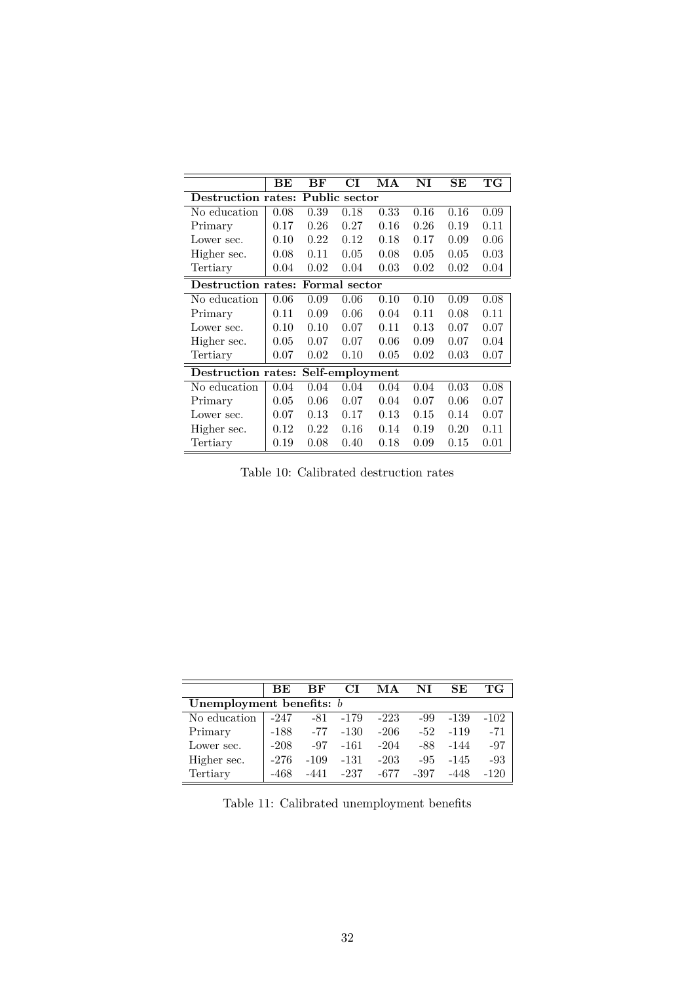<span id="page-31-0"></span>

|                    | BЕ                                  | BF   | CI              | МA   | NI   | SЕ   | $\mathbf{T}\mathbf{G}$ |  |  |  |  |
|--------------------|-------------------------------------|------|-----------------|------|------|------|------------------------|--|--|--|--|
| Destruction rates: |                                     |      | Public sector   |      |      |      |                        |  |  |  |  |
| No education       | 0.08                                | 0.39 | 0.18            | 0.33 | 0.16 | 0.16 | 0.09                   |  |  |  |  |
| Primary            | 0.17                                | 0.26 | 0.27            | 0.16 | 0.26 | 0.19 | 0.11                   |  |  |  |  |
| Lower sec.         | 0.10                                | 0.22 | 0.12            | 0.18 | 0.17 | 0.09 | 0.06                   |  |  |  |  |
| Higher sec.        | 0.08                                | 0.11 | 0.05            | 0.08 | 0.05 | 0.05 | 0.03                   |  |  |  |  |
| Tertiary           | 0.04                                | 0.02 | 0.04            | 0.03 | 0.02 | 0.02 | 0.04                   |  |  |  |  |
|                    | Destruction rates:<br>Formal sector |      |                 |      |      |      |                        |  |  |  |  |
| No education       | 0.06                                | 0.09 | 0.06            | 0.10 | 0.10 | 0.09 | 0.08                   |  |  |  |  |
| Primary            | 0.11                                | 0.09 | 0.06            | 0.04 | 0.11 | 0.08 | 0.11                   |  |  |  |  |
| Lower sec.         | 0.10                                | 0.10 | 0.07            | 0.11 | 0.13 | 0.07 | 0.07                   |  |  |  |  |
| Higher sec.        | 0.05                                | 0.07 | 0.07            | 0.06 | 0.09 | 0.07 | 0.04                   |  |  |  |  |
| Tertiary           | 0.07                                | 0.02 | 0.10            | 0.05 | 0.02 | 0.03 | 0.07                   |  |  |  |  |
| Destruction rates: |                                     |      | Self-employment |      |      |      |                        |  |  |  |  |
| No education       | 0.04                                | 0.04 | 0.04            | 0.04 | 0.04 | 0.03 | 0.08                   |  |  |  |  |
| Primary            | 0.05                                | 0.06 | 0.07            | 0.04 | 0.07 | 0.06 | 0.07                   |  |  |  |  |
| Lower sec.         | 0.07                                | 0.13 | 0.17            | 0.13 | 0.15 | 0.14 | 0.07                   |  |  |  |  |
| Higher sec.        | 0.12                                | 0.22 | 0.16            | 0.14 | 0.19 | 0.20 | 0.11                   |  |  |  |  |
| Tertiary           | 0.19                                | 0.08 | 0.40            | 0.18 | 0.09 | 0.15 | 0.01                   |  |  |  |  |

Table 10: Calibrated destruction rates

|                            | BE.    | ВF     | CТ     | MА     | NT     | SE.    | ТG     |  |  |  |  |
|----------------------------|--------|--------|--------|--------|--------|--------|--------|--|--|--|--|
| Unemployment benefits: $b$ |        |        |        |        |        |        |        |  |  |  |  |
| No education               | $-247$ | -81    | $-179$ | $-223$ | -99    | -139   | $-102$ |  |  |  |  |
| Primary                    | $-188$ | $-77$  | $-130$ | $-206$ | $-52$  | $-119$ | $-71$  |  |  |  |  |
| Lower sec.                 | $-208$ | $-97$  | -161   | $-204$ | -88    | -144   | $-97$  |  |  |  |  |
| Higher sec.                | $-276$ | $-109$ | $-131$ | $-203$ | $-9.5$ | -145   | $-93$  |  |  |  |  |
| Tertiary                   | -468   |        | -237   | -677   | -397   |        | $-120$ |  |  |  |  |

Table 11: Calibrated unemployment benefits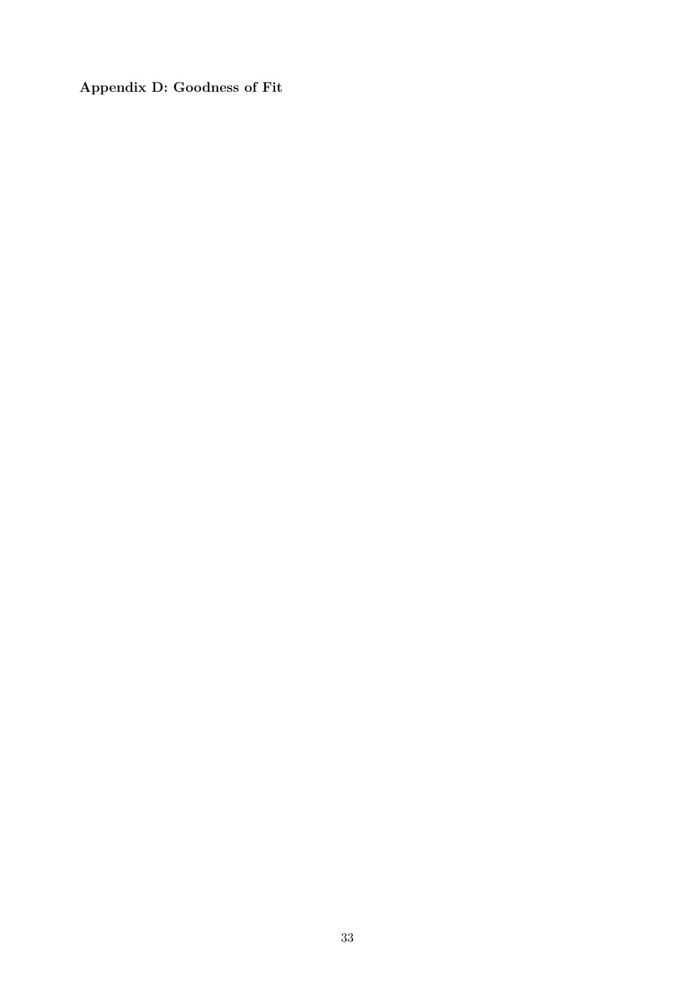**Appendix D: Goodness of Fit**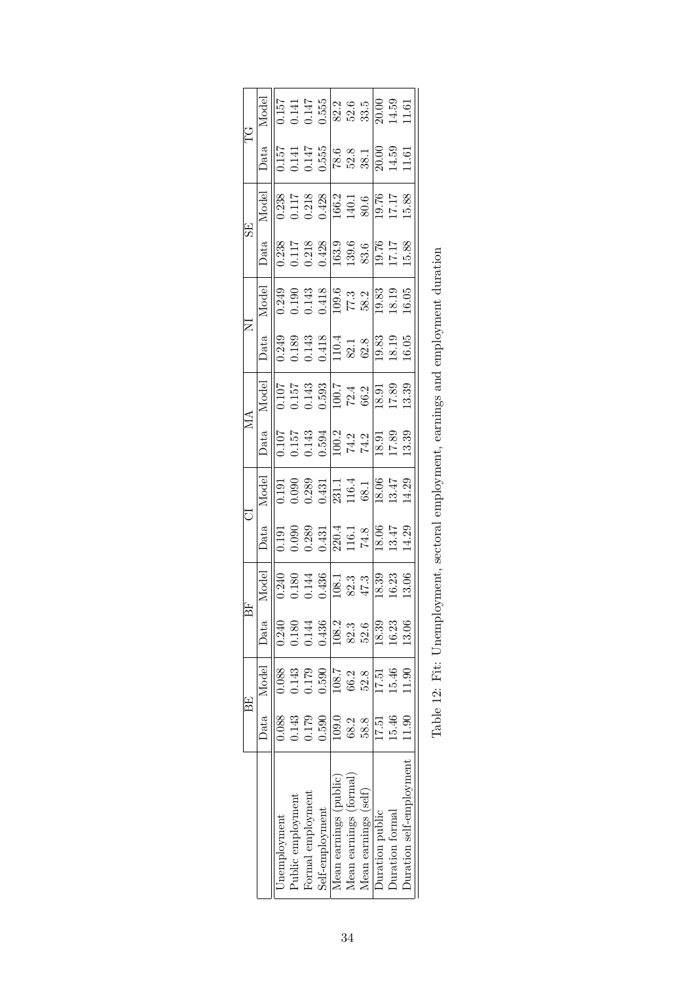|        | Model                                                                                                                                                      |              |                   |                   |                 |                        |                        | $\begin{array}{r} 0.157 \\ 0.141 \\ 0.147 \\ 0.555 \\ 0.82 \\ 0.83 \\ 0.00 \\ 0.0141 \\ 0.0141 \\ 0.0141 \\ 0.01 \\ 0.01 \\ 0.01 \\ 0.01 \\ 0.1450 \\ 11.61 \\ 11.61 \\ 11.61 \\ 11.61 \\ 11.61 \\ 11.61 \\ 11.61 \\ 11.61 \\ 11.61 \\ 11.61 \\ 11.61 \\ 11.61 \\ 11.61 \\ 11.61 \\ 11.61 \\ 11.61$         |                        |                 |                          |  |
|--------|------------------------------------------------------------------------------------------------------------------------------------------------------------|--------------|-------------------|-------------------|-----------------|------------------------|------------------------|-------------------------------------------------------------------------------------------------------------------------------------------------------------------------------------------------------------------------------------------------------------------------------------------------------------|------------------------|-----------------|--------------------------|--|
| 업<br>H |                                                                                                                                                            |              |                   |                   |                 |                        |                        | $\begin{array}{l l} \text{Data} \\ \hline 1.57 \\ 0.141 \\ 0.147 \\ 0.555 \\ 0.60 \\ 78.3 \\ 83.1 \\ 80.0 \\ 20.0 \\ 14.59 \\ 11.61 \\ \end{array}$                                                                                                                                                         |                        |                 |                          |  |
|        | M <u>ode</u>                                                                                                                                               |              |                   |                   |                 |                        |                        | $\begin{array}{r} 0.238 \\ 0.117 \\ 0.218 \\ 0.6428 \\ 166.2 \\ 140.1 \\ 19.76 \\ 11.17 \\ 15.88 \\ 15.88 \end{array}$                                                                                                                                                                                      |                        |                 |                          |  |
| 55     | Data                                                                                                                                                       |              |                   |                   |                 |                        |                        | $\begin{array}{r} 0.238 \\ 0.117 \\ 0.218 \\ 0.63 \\ 0.428 \\ 163.9 \\ 139.6 \\ 15.76 \\ 17.17 \\ 11.18 \\ 15.88 \\ \end{array}$                                                                                                                                                                            |                        |                 |                          |  |
|        | Model                                                                                                                                                      |              |                   |                   |                 |                        |                        | $\begin{array}{l} 0.249 \\ 0.190 \\ 0.141 \\ 0.418 \\ 0.418 \\ \hline \end{array} \begin{array}{l} 6,7,3 \\ 7,7,3 \\ 7,8,2 \\ 8,2 \\ \hline \end{array}$                                                                                                                                                    |                        |                 |                          |  |
| Z      | Data                                                                                                                                                       |              |                   |                   |                 |                        |                        | $\begin{array}{l} 0.249 \\ 0.139 \\ 0.143 \\ 0.141 \\ 0.418 \\ 0.414 \\ 0.014 \\ 0.014 \\ 0.03 \\ 0.03 \\ 0.03 \\ 0.05 \\ 0.05 \\ 10.05 \\ \end{array}$                                                                                                                                                     |                        |                 |                          |  |
|        | $\begin{array}{l l} \hline \text{Model} \\ \hline 0.157 & 0.143 \\ 0.153 & 0.593 \\ 0.63 & 0.7 \\ \hline 100.7 & 0.24 \\ 0.89 & 0.2 \\ \hline \end{array}$ |              |                   |                   |                 |                        |                        |                                                                                                                                                                                                                                                                                                             |                        |                 |                          |  |
| МA     | Data                                                                                                                                                       |              |                   |                   |                 |                        |                        | $\begin{array}{l} 0.107 \\ 0.157 \\ 0.143 \\ 0.694 \\ \hline 100.2 \\ 74.2 \\ 74.2 \\ \hline 18.91 \\ 17.89 \\ 13.39 \\ \end{array}$                                                                                                                                                                        |                        |                 |                          |  |
|        | Model                                                                                                                                                      |              |                   |                   |                 |                        |                        | $\begin{array}{l} 0.191 \\ 0.090 \\ 0.289 \\ 0.311 \\ 0.411 \\ 0.61 \\ 0.61 \\ 0.61 \\ 0.61 \\ 0.61 \\ 0.61 \\ 0.61 \\ 0.62 \\ 0.72 \\ 0.81 \\ 1.43 \\ 0.81 \\ 1.43 \\ 0.83 \\ 1.43 \\ 0.84 \\ 0.85 \\ 0.87 \\ 0.89 \\ 0.81 \\ 0.83 \\ 0.84 \\ 0.85 \\ 0.87 \\ 0.89 \\ 0.89 \\ 0.89 \\ 0.89 \\ 0.89 \\ 0.8$ |                        |                 |                          |  |
| ರ      | Data                                                                                                                                                       |              |                   |                   |                 |                        |                        | $\begin{array}{l} 0.191 \\ 0.090 \\ 0.289 \\ 0.431 \\ 0.431 \\ 16.1 \\ 16.1 \\ 18.06 \\ 13.47 \\ 14.29 \\ 13.47 \\ 14.29 \\ \end{array}$                                                                                                                                                                    |                        |                 |                          |  |
|        | Model                                                                                                                                                      |              |                   |                   |                 |                        |                        | $\begin{array}{l} 0.240 \\ 0.180 \\ 0.1436 \\ 0.436 \\ \hline 108.1 \\ 108.3 \\ \hline 47.3 \\ 18.33 \\ 14.29 \\ 19.33 \\ 13.06 \\ \end{array}$                                                                                                                                                             |                        |                 |                          |  |
|        | Data                                                                                                                                                       | 0.240        | 0.180             | 0.144             | 0.436           | 108.2                  | 82.3                   | 52.6                                                                                                                                                                                                                                                                                                        | 18.39                  | 16.23           | 13.06                    |  |
|        | Data Model                                                                                                                                                 | 0.088        | 0.143             | 0.179             | 0.590           | 108.7                  | 66.2                   | 52.8                                                                                                                                                                                                                                                                                                        | 17.51                  | 15.46           | 11.90                    |  |
| ΒE     |                                                                                                                                                            | 0.088        | 1143              |                   | 0.590           | 109.0                  | 68.2                   | 58.8                                                                                                                                                                                                                                                                                                        | 17.51                  | 15.46           | 1.90                     |  |
|        |                                                                                                                                                            | Jnemployment | Public employment | Formal employment | Self-employment | Mean earnings (public) | Mean earnings (formal) | Mean earnings (self)                                                                                                                                                                                                                                                                                        | <b>Duration public</b> | Duration formal | Juration self-employment |  |

<span id="page-33-0"></span>

| Ì                                                                                                                                                                                                                                                 |
|---------------------------------------------------------------------------------------------------------------------------------------------------------------------------------------------------------------------------------------------------|
| <br> <br> <br> <br>processive control and the control of control or and the control of the control or control of the control of the control of the control of the control of the control of the control of the control of the control of the cont |
|                                                                                                                                                                                                                                                   |
|                                                                                                                                                                                                                                                   |
|                                                                                                                                                                                                                                                   |
|                                                                                                                                                                                                                                                   |
| l                                                                                                                                                                                                                                                 |
| ;<br>;<br>$\ddot{\phantom{0}}$                                                                                                                                                                                                                    |
| - 1<br>- 1<br>- 1<br>- 1                                                                                                                                                                                                                          |
| $\ddot{\phantom{a}}$                                                                                                                                                                                                                              |
| $\vdots$<br>ĺ                                                                                                                                                                                                                                     |
| $T_{\rm e}$ $1.1$ $\Omega$<br>l                                                                                                                                                                                                                   |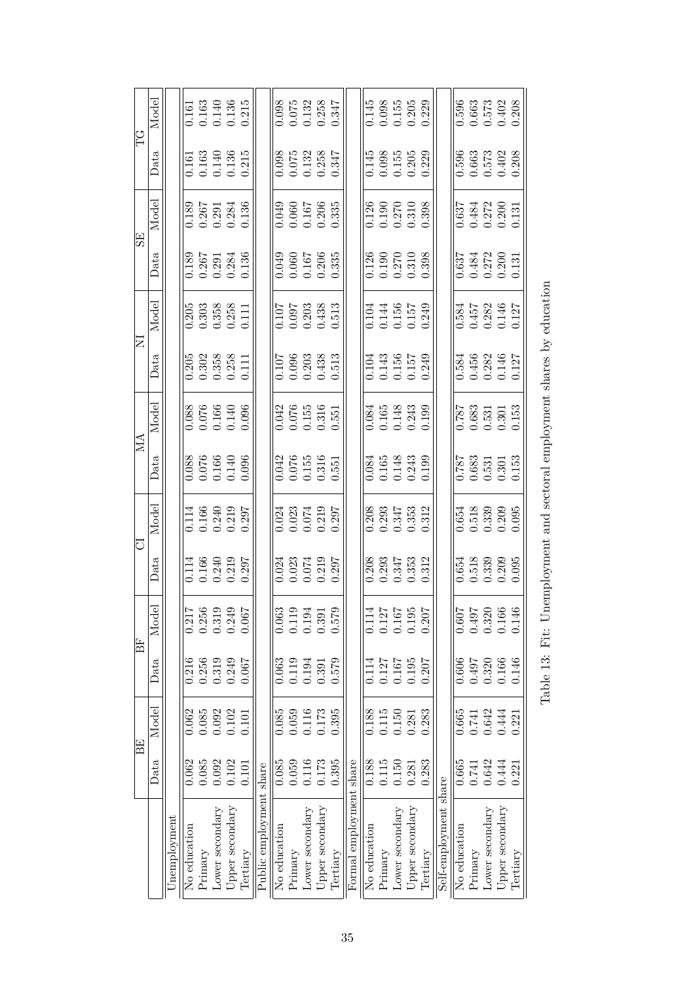|             | Model |              |              |            | $\begin{array}{c} 0.161 \\ 0.163 \\ 0.140 \\ 0.136 \\ 0.215 \end{array}$          |                 |                                                                          |                         |              | $\begin{array}{c} 0.098 \\ 0.075 \\ 0.132 \\ 0.258 \\ 0.347 \end{array}$ |                    |                                               |          |                         |              | $\begin{array}{c} 0.145 \\ 0.098 \\ 0.155 \\ 0.205 \\ 0.203 \end{array}$           |                 |                 |          |                       | 0.596        |         | $\begin{array}{c} 0.663 \\ 0.573 \\ 0.402 \\ 0.208 \end{array}$                   |                 |          |
|-------------|-------|--------------|--------------|------------|-----------------------------------------------------------------------------------|-----------------|--------------------------------------------------------------------------|-------------------------|--------------|--------------------------------------------------------------------------|--------------------|-----------------------------------------------|----------|-------------------------|--------------|------------------------------------------------------------------------------------|-----------------|-----------------|----------|-----------------------|--------------|---------|-----------------------------------------------------------------------------------|-----------------|----------|
| ΈG          | Data  |              |              |            | $\begin{array}{c} 0.161 \\ 0.163 \\ 0.140 \\ 0.136 \\ 0.35 \\ \end{array}$        |                 |                                                                          |                         |              | $\begin{array}{c} 0.098 \\ 0.075 \\ 0.132 \\ 0.258 \\ 0.347 \end{array}$ |                    |                                               |          |                         |              | $\begin{array}{c} 0.145 \\ 0.098 \\ 0.155 \\ 0.205 \\ 0.203 \end{array}$           |                 |                 |          |                       |              |         | $0.596$<br>$0.663$<br>$0.573$<br>$0.402$<br>$0.208$                               |                 |          |
|             | Model |              |              |            | $\begin{array}{c} 0.189 \\ 0.267 \\ 0.291 \\ 0.294 \\ 0.136 \end{array}$          |                 |                                                                          |                         |              | $\begin{array}{c} 0.049 \\ 0.060 \\ 0.167 \\ 0.206 \\ 0.335 \end{array}$ |                    |                                               |          |                         |              | $\begin{array}{c} 0.126 \\ 0.190 \\ 0.270 \\ 0.310 \\ 0.310 \end{array}$           |                 |                 |          |                       |              |         | $\begin{array}{c} 0.637 \\ 0.484 \\ 0.272 \\ 0.030 \\ 0.131 \end{array}$          |                 |          |
| ES          | Data  |              |              |            |                                                                                   |                 | $\begin{array}{c} 0.189 \\ 0.267 \\ 0.291 \\ 0.394 \\ 0.136 \end{array}$ |                         |              | $\begin{array}{c} 0.049 \\ 0.060 \\ 0.167 \\ 0.206 \\ 0.335 \end{array}$ |                    |                                               |          |                         |              | $\begin{array}{c} 0.126 \\ 0.190 \\ 0.270 \\ 0.310 \\ 0.398 \end{array}$           |                 |                 |          |                       |              |         | $\begin{array}{c} 0.637 \\ 0.484 \\ 0.272 \\ 0.200 \\ 0.131 \end{array}$          |                 |          |
|             | Model |              |              |            | $\begin{array}{c} 0.205 \\ 0.303 \\ 0.358 \\ 0.258 \\ 0.111 \end{array}$          |                 |                                                                          |                         |              | $\begin{array}{c} 0.107 \\ 0.097 \\ 0.203 \\ 0.438 \\ 0.513 \end{array}$ |                    |                                               |          |                         |              | $\begin{array}{c} 0.104 \\ 0.144 \\ 0.156 \\ 0.157 \\ 0.0157 \\ \end{array}$       |                 |                 |          |                       |              |         | $\begin{array}{c} 0.584 \\ 0.457 \\ 0.282 \\ 0.146 \\ 0.146 \\ \end{array}$       |                 |          |
| Ξ           | Data  |              | 0.205        |            | $\begin{array}{c} 0.302 \\ 0.358 \\ 0.258 \\ 0.111 \end{array}$                   |                 |                                                                          |                         |              | $\begin{array}{c} 0.107 \\ 0.096 \\ 0.203 \\ 0.438 \\ 0.513 \end{array}$ |                    |                                               |          |                         |              | $\begin{array}{c} 0.104 \\ 0.143 \\ 0.156 \\ 0.157 \\ 0.0157 \\ 0.249 \end{array}$ |                 |                 |          |                       |              |         | $\begin{array}{c} 0.584 \\ 0.456 \\ 0.282 \\ 0.146 \\ 0.146 \\ \end{array}$       |                 |          |
|             | Model |              |              |            | $\begin{array}{c} 0.088 \\ 0.076 \\ 0.166 \\ 0.140 \\ 0.096 \end{array}$          |                 |                                                                          |                         |              | $\begin{array}{c} 0.042 \\ 0.076 \\ 0.155 \\ 0.316 \\ 0.551 \end{array}$ |                    |                                               |          |                         |              | $\begin{array}{c} 0.084 \\ 0.165 \\ 0.148 \\ 0.243 \\ 0.0199 \end{array}$          |                 |                 |          |                       |              |         | $\begin{array}{c} 0.787 \\ 0.683 \\ 0.531 \\ 0.301 \\ 0.301 \\ 0.153 \end{array}$ |                 |          |
| МĄ          | Data  |              |              |            | $\begin{array}{c} 0.088 \\ 0.076 \\ 0.166 \\ 0.140 \\ 0.040 \\ 0.096 \end{array}$ |                 |                                                                          |                         |              | $\begin{array}{c} 0.042 \\ 0.076 \\ 0.155 \\ 0.316 \\ 0.551 \end{array}$ |                    |                                               |          |                         |              | $\begin{array}{c} 0.084 \\ 0.165 \\ 0.148 \\ 0.243 \\ 0.0199 \end{array}$          |                 |                 |          |                       |              |         | $\begin{array}{c} 0.787 \\ 0.683 \\ 0.531 \\ 0.301 \\ 0.301 \\ 0.153 \end{array}$ |                 |          |
|             | Model |              |              |            | $\begin{array}{c} 0.114 \\ 0.166 \\ 0.240 \\ 0.219 \\ 0.319 \\ \end{array}$       |                 |                                                                          |                         |              | $\begin{array}{c} 0.024 \\ 0.023 \\ 0.074 \\ 0.219 \\ 0.297 \end{array}$ |                    |                                               |          |                         |              | $\begin{array}{c} 0.208 \\ 0.293 \\ 0.347 \\ 0.353 \\ 0.312 \end{array}$           |                 |                 |          |                       |              |         | $\begin{array}{c} 0.654 \\ 0.518 \\ 0.339 \\ 0.209 \\ 0.095 \end{array}$          |                 |          |
| ਹ           | Data  |              |              |            | $0.114$<br>$0.166$<br>$0.219$<br>$0.297$<br>$0.297$                               |                 |                                                                          |                         |              | $0.024$<br>$0.074$<br>$0.074$<br>$0.079$<br>$0.000$                      |                    |                                               |          |                         |              | $\begin{array}{c} 0.208 \\ 0.293 \\ 0.347 \\ 0.353 \\ 0.312 \end{array}$           |                 |                 |          |                       |              |         | 554<br>55330<br>00000<br>00000                                                    |                 |          |
|             | Model |              | 0.217        | ന<br>0.256 | 0.319                                                                             | 0.249           | 0.067                                                                    |                         | 0.063        | 0.119                                                                    | 0.194              | 0.391                                         | 0.57     |                         | 0.114        | $\begin{array}{c} 0.127 \\ 0.167 \\ 0.195 \end{array}$                             |                 |                 | 0.207    |                       | 0.607        | 0.497   | 0.320                                                                             | 0.166           | 0.14     |
| 日           | Data  |              | 0.216        | 0.256      | 0.319                                                                             | 0.249           | 0.067                                                                    |                         | 0.063        | 0.119                                                                    | $0.194$<br>$0.391$ |                                               | 0.579    |                         |              | 0.127                                                                              | 0.167           | 0.195           | 0.207    |                       | 0.606        | 0.497   | 0.320                                                                             | 0.166<br>0.146  |          |
|             | Model |              | 0.062        | 0.085      | 0.092                                                                             | 0.102           | 0.101                                                                    |                         | 0.085        | 0.059                                                                    | 0.116<br>0.173     |                                               | 0.395    |                         | 0.188        | 0.115                                                                              | 0.150           | 0.281           | 0.283    |                       | 0.665        | 0.741   | 0.642                                                                             | 0.444           | 0.221    |
| $_{\rm BE}$ | Data  |              | 0.062        | 0.085      | 0.092                                                                             | 0.102           | 0.101                                                                    |                         | 0.085        | 0.059                                                                    |                    | $\begin{array}{c} 0.116 \\ 0.173 \end{array}$ | 0.395    |                         | 0.188        | 0.115                                                                              | 0.150           | 0.281           | 0.283    |                       | 0.665        | 0.741   | 0.642                                                                             | 0.444           | 0.221    |
|             |       | Unemployment | No education | Primary    | Lower secondary                                                                   | Upper secondary | Tertiary                                                                 | Public employment share | No education | Primary                                                                  | Lower secondary    | Upper secondary                               | Tertiary | Formal employment share | No education | Primary                                                                            | Lower secondary | Upper secondary | Tertiary | Self-employment share | No education | Primary | Lower secondary                                                                   | Upper secondary | Tertiary |

Table 13: Fit: Unemployment and sectoral employment shares by education Table 13: Fit: Unemployment and sectoral employment shares by education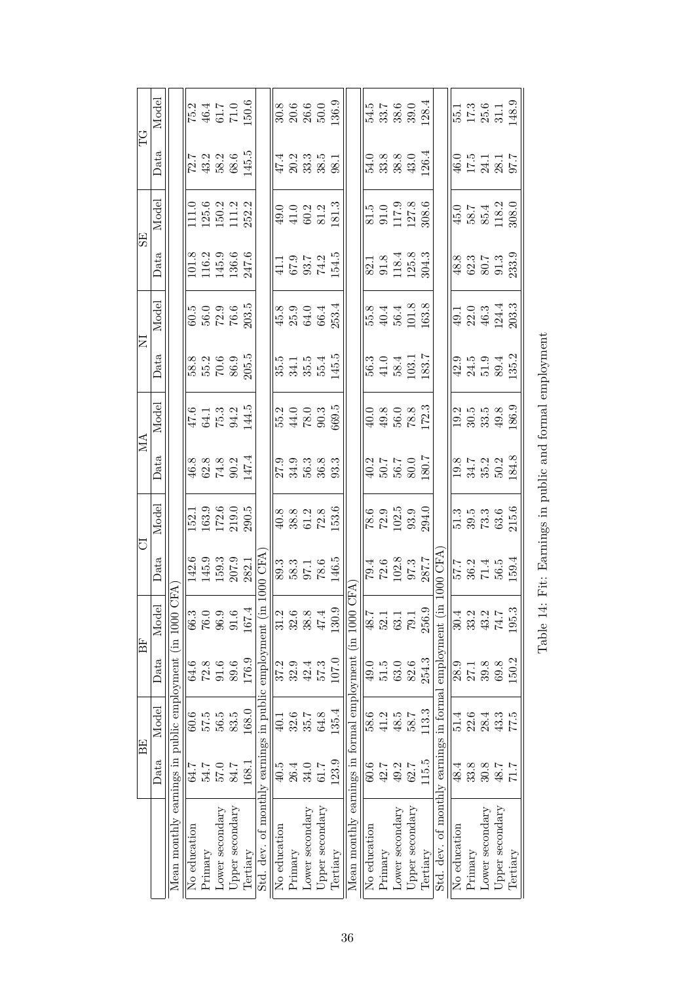| EG             | Model                 |                                        |              |         |                 | $\begin{array}{r} \n\hline\n75.2 \\ 46.4 \\ \hline\n46.7 \\ 71.0 \\ 150.6\n\end{array}$ |                                                                                                                                     |                                                       |              |         | $\frac{8}{30.6}$<br>$\frac{8}{30.6}$<br>$\frac{6}{30.0}$<br>$\frac{6}{30.9}$                                                              |                 |                                                             |                                                     |              |         | 54.5<br>53.89.01<br>53.89.128.4                                        |                 |                                                                     |                                                           |                                                          |         |                 | $\begin{array}{c} 55.1 \\ 17.3 \\ 25.6 \\ 31.1 \\ 148.9 \end{array}$   |                                   |
|----------------|-----------------------|----------------------------------------|--------------|---------|-----------------|-----------------------------------------------------------------------------------------|-------------------------------------------------------------------------------------------------------------------------------------|-------------------------------------------------------|--------------|---------|-------------------------------------------------------------------------------------------------------------------------------------------|-----------------|-------------------------------------------------------------|-----------------------------------------------------|--------------|---------|------------------------------------------------------------------------|-----------------|---------------------------------------------------------------------|-----------------------------------------------------------|----------------------------------------------------------|---------|-----------------|------------------------------------------------------------------------|-----------------------------------|
|                | Data                  |                                        |              |         |                 | $\frac{72.7}{12.2}$<br>43.2<br>58.6<br>145.5                                            |                                                                                                                                     |                                                       |              |         | $47.2$<br>$40.3$ $38.3$<br>$5.3$ $38.3$                                                                                                   |                 |                                                             |                                                     |              |         | 54.0<br>53.8<br>53.8<br>4<br>126.4                                     |                 |                                                                     |                                                           |                                                          |         |                 | 46.0<br>17.5<br>17.7<br>97.7                                           |                                   |
|                | Model                 |                                        |              |         |                 | $\begin{array}{l} 111.0 \\ 125.6 \\ 150.2 \\ 111.2 \\ 252.2 \end{array}$                |                                                                                                                                     |                                                       |              |         | $49.0$<br>$41.0$<br>$60.2$<br>$81.3$<br>$81.3$                                                                                            |                 |                                                             |                                                     |              |         | $\begin{array}{c} 81.5 \\ 91.0 \\ 117.9 \\ 127.8 \\ 308.6 \end{array}$ |                 |                                                                     |                                                           |                                                          |         |                 | $\begin{array}{l} 45.0 \\ 58.7 \\ 85.4 \\ 118.2 \\ 1308.0 \end{array}$ |                                   |
| SE <sub></sub> | Data                  |                                        |              |         |                 | $\begin{array}{c} 101.8 \\ 116.2 \\ 145.9 \\ 136.6 \\ 247.6 \end{array}$                |                                                                                                                                     |                                                       |              |         |                                                                                                                                           |                 | $41.1$<br>$67.9$<br>$74.2$<br>$154.5$                       |                                                     |              |         | $\begin{array}{c} 82.1 \\ 91.8 \\ 118.4 \\ 125.8 \\ 304.3 \end{array}$ |                 |                                                                     |                                                           |                                                          |         |                 |                                                                        | 48.3<br>62.5<br>50.533.9<br>233.9 |
|                | Model                 |                                        |              |         |                 | 60.5<br>56.0<br>72.03.5<br>203.5                                                        |                                                                                                                                     |                                                       |              |         | $45.8$<br>$25.9$<br>$64.4$<br>$66.4$<br>$253.4$                                                                                           |                 |                                                             |                                                     |              |         | 55.8<br>40.4<br>56.4<br>163.8                                          |                 |                                                                     |                                                           |                                                          |         |                 | $49.1$<br>$22.0$<br>$46.3$<br>$124.3$<br>$203.3$                       |                                   |
| Ξ              | Data                  |                                        |              |         |                 | 58.8<br>55.2<br>70.5.5<br>205.5                                                         |                                                                                                                                     |                                                       |              |         |                                                                                                                                           |                 | 15.15<br>35.15.15.15<br>35.15.15.15                         |                                                     |              |         | $\begin{array}{c} 56.3 \\ 41.0 \\ 58.4 \\ 103.7 \\ 183.7 \end{array}$  |                 |                                                                     |                                                           |                                                          |         |                 | 9.5.9<br>21.5.9.12<br>25.2                                             |                                   |
|                | Model                 |                                        |              |         |                 |                                                                                         | $\frac{47.6}{64.1}$<br>$\frac{64.1}{75.3}$<br>$\frac{34.5}{144.5}$                                                                  |                                                       |              |         |                                                                                                                                           |                 | $\frac{1}{55.2}$<br>$\frac{44.0}{78.0}$<br>$\frac{3}{55.5}$ |                                                     |              |         |                                                                        |                 | $49.8$<br>$49.8$<br>$78.3$<br>$172.3$                               |                                                           |                                                          |         |                 | $\frac{19.2}{30.5}$<br>30.5339.99<br>186.9                             |                                   |
| ÁN             | Data                  |                                        |              |         |                 | 46.8<br>62.8<br>74.2<br>147.4                                                           |                                                                                                                                     |                                                       |              |         |                                                                                                                                           |                 |                                                             |                                                     |              |         | $40.2$<br>50.7<br>50.7<br>50.7<br>50.7<br>80.7                         |                 |                                                                     |                                                           |                                                          |         |                 | $19.8$<br>$34.7$<br>$35.2$<br>$50.2$<br>$184.8$                        |                                   |
|                | Model                 |                                        |              |         |                 | $\begin{array}{l} 152.1 \\ 163.9 \\ 172.6 \\ 219.0 \\ 290.5 \end{array}$                |                                                                                                                                     |                                                       |              |         | $\frac{8}{9}$<br>$\frac{8}{3}$<br>$\frac{8}{5}$<br>$\frac{13.6}{153.6}$                                                                   |                 |                                                             |                                                     |              |         |                                                                        |                 | $\frac{78.6}{72.9}$<br>$\frac{72.9}{102.5}$<br>$\frac{93.0}{294.0}$ |                                                           |                                                          |         |                 | 51.3<br>59.5<br>63.6<br>215.6                                          |                                   |
| ਹ              | Data                  |                                        |              |         |                 |                                                                                         | $\begin{tabular}{c c} 3 & 142.6 \\ 0 & 145.9 \\ 9 & 159.3 \\ 6 & 207.9 \\ 4 & 282.1 \\ \hline in\ 1000\ \mathrm{CFA} \end{tabular}$ |                                                       |              |         | $\frac{1}{8}$<br>$\frac{3}{8}$<br>$\frac{3}{5}$<br>$\frac{1}{10}$<br>$\frac{6}{10}$<br>$\frac{5}{10}$<br>$\frac{1}{10}$<br>$\frac{1}{10}$ |                 |                                                             |                                                     |              |         |                                                                        |                 |                                                                     | $79.4$<br>$72.6$<br>$102.8$<br>$97.3$<br>$287.7$<br>$200$ | $\frac{57}{53}$<br>$\frac{361}{594}$<br>$\frac{45}{494}$ |         |                 |                                                                        |                                   |
|                | $\overline{d}$<br>Mod | GFA                                    | 66.3         | 76.0    | 96.9            | 91.6                                                                                    | 167.                                                                                                                                |                                                       | 31.2         | 32.6    | 38.8                                                                                                                                      | 47.4            | 130.                                                        | CFA                                                 | 48.7         | 52.1    | 63.1                                                                   | 79.1            | 256.                                                                |                                                           | 30.4                                                     | 33.2    | 43.2            | 74.7                                                                   | 195                               |
| 旧              | Data                  |                                        | 64.6         | $72.8$  | 91.6            | 89.6                                                                                    | 176.9                                                                                                                               |                                                       | 37.2         | 32.9    | 42.4                                                                                                                                      | 57.3            | 107.0                                                       |                                                     | 49.0         | 51.5    | 63.0                                                                   | 82.6            | 254.3                                                               | employment                                                | 28.9                                                     | 27.1    | 39.8            | 69.8                                                                   | 150.2                             |
|                | Model                 | earnings in public employment (in 1000 | 60.6         | 57.5    | 56.5            | 83.5                                                                                    | 168.0                                                                                                                               |                                                       | 40.1         | 32.6    | 35.7                                                                                                                                      | 64.8            | 135.4                                                       |                                                     | 58.6         | 41.2    | 48.5                                                                   | 58.7            | 113.3                                                               |                                                           | 51.4                                                     | 22.6    | 28.4            | 43.3                                                                   | 77.5                              |
| <b>BE</b>      | Data                  |                                        | 64.7         | 54.7    | 57.0            | 84.7                                                                                    | 168.1                                                                                                                               |                                                       | 40.5         | 26.4    | 34.0                                                                                                                                      | 7.16            | 123.9                                                       |                                                     | 60.6         | 42.7    | 49.2                                                                   | 62.7            | 115.5                                                               |                                                           | 48.4                                                     | 33.8    | $30.8$          | 48.7                                                                   |                                   |
|                |                       | Mean monthly                           | No education | Primary | Lower secondary | Upper secondary                                                                         | Tertiary                                                                                                                            | Std. dev. of monthly earnings in public employment (i | No education | Primary | Lower secondary                                                                                                                           | Upper secondary | Tertiary                                                    | Mean monthly earnings in formal employment (in 1000 | No education | Primary | Lower secondary                                                        | Upper secondary | Tertiary                                                            | Std. dev. of monthly earnings in formal                   | No education                                             | Primary | Lower secondary | Upper secondary                                                        | Tertiary                          |

Table 14: Fit: Earnings in public and formal employment Table 14: Fit: Earnings in public and formal employment